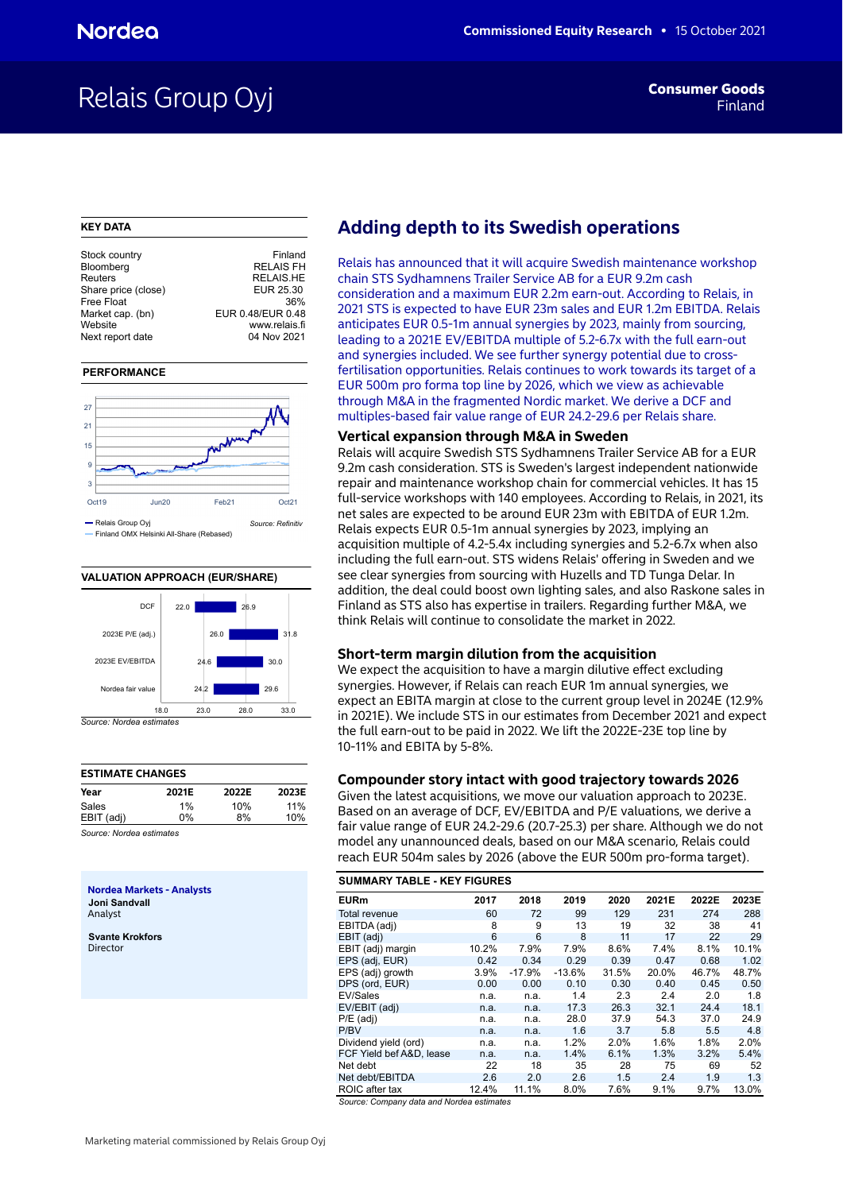## Relais Group Oyj **Findam Consumer Goods**

#### **KEY DATA**

| Stock country       | Finland           |
|---------------------|-------------------|
| Bloomberg           | <b>RELAIS FH</b>  |
| Reuters             | <b>RELAIS.HE</b>  |
| Share price (close) | EUR 25.30         |
| Free Float          | 36%               |
| Market cap. (bn)    | EUR 0.48/EUR 0.48 |
| Website             | www.relais.fi     |
| Next report date    | 04 Nov 2021       |
|                     |                   |

#### **PERFORMANCE**



#### **VALUATION APPROACH (EUR/SHARE)**



| <b>ESTIMATE CHANGES</b>   |       |       |       |  |  |  |  |  |  |  |  |
|---------------------------|-------|-------|-------|--|--|--|--|--|--|--|--|
| Year                      | 2021E | 2022E | 2023E |  |  |  |  |  |  |  |  |
| Sales                     | 1%    | 10%   | 11%   |  |  |  |  |  |  |  |  |
| EBIT (adj)                | $0\%$ | 8%    | 10%   |  |  |  |  |  |  |  |  |
| Course: Nevelos sotimates |       |       |       |  |  |  |  |  |  |  |  |

*Source: Nordea estimates*

**Nordea Markets - Analysts Joni Sandvall** Analyst

**Svante Krokfors** Director

## **Adding depth to its Swedish operations**

Relais has announced that it will acquire Swedish maintenance workshop chain STS Sydhamnens Trailer Service AB for a EUR 9.2m cash consideration and a maximum EUR 2.2m earn-out. According to Relais, in 2021 STS is expected to have EUR 23m sales and EUR 1.2m EBITDA. Relais anticipates EUR 0.5-1m annual synergies by 2023, mainly from sourcing, leading to a 2021E EV/EBITDA multiple of 5.2-6.7x with the full earn-out and synergies included. We see further synergy potential due to crossfertilisation opportunities. Relais continues to work towards its target of a EUR 500m pro forma top line by 2026, which we view as achievable through M&A in the fragmented Nordic market. We derive a DCF and multiples-based fair value range of EUR 24.2-29.6 per Relais share.

#### **Vertical expansion through M&A in Sweden**

Relais will acquire Swedish STS Sydhamnens Trailer Service AB for a EUR 9.2m cash consideration. STS is Sweden's largest independent nationwide repair and maintenance workshop chain for commercial vehicles. It has 15 full-service workshops with 140 employees. According to Relais, in 2021, its net sales are expected to be around EUR 23m with EBITDA of EUR 1.2m. Relais expects EUR 0.5-1m annual synergies by 2023, implying an acquisition multiple of 4.2-5.4x including synergies and 5.2-6.7x when also including the full earn-out. STS widens Relais' offering in Sweden and we see clear synergies from sourcing with Huzells and TD Tunga Delar. In addition, the deal could boost own lighting sales, and also Raskone sales in Finland as STS also has expertise in trailers. Regarding further M&A, we think Relais will continue to consolidate the market in 2022.

### **Short-term margin dilution from the acquisition**

We expect the acquisition to have a margin dilutive effect excluding synergies. However, if Relais can reach EUR 1m annual synergies, we expect an EBITA margin at close to the current group level in 2024E (12.9% in 2021E). We include STS in our estimates from December 2021 and expect the full earn-out to be paid in 2022. We lift the 2022E-23E top line by 10-11% and EBITA by 5-8%.

#### **Compounder story intact with good trajectory towards 2026**

Given the latest acquisitions, we move our valuation approach to 2023E. Based on an average of DCF, EV/EBITDA and P/E valuations, we derive a fair value range of EUR 24.2-29.6 (20.7-25.3) per share. Although we do not model any unannounced deals, based on our M&A scenario, Relais could reach EUR 504m sales by 2026 (above the EUR 500m pro-forma target).

|                                      | <b>SUMMARY TABLE - KEY FIGURES</b> |          |          |       |       |       |       |  |  |  |  |  |  |
|--------------------------------------|------------------------------------|----------|----------|-------|-------|-------|-------|--|--|--|--|--|--|
| <b>EURm</b>                          | 2017                               | 2018     | 2019     | 2020  | 2021E | 2022E | 2023E |  |  |  |  |  |  |
| Total revenue                        | 60                                 | 72       | 99       | 129   | 231   | 274   | 288   |  |  |  |  |  |  |
| EBITDA (adj)                         | 8                                  | 9        | 13       | 19    | 32    | 38    | 41    |  |  |  |  |  |  |
| EBIT (adj)                           | 6                                  | 6        | 8        | 11    | 17    | 22    | 29    |  |  |  |  |  |  |
| EBIT (adj) margin                    | 10.2%                              | 7.9%     | 7.9%     | 8.6%  | 7.4%  | 8.1%  | 10.1% |  |  |  |  |  |  |
| EPS (adj, EUR)                       | 0.42                               | 0.34     | 0.29     | 0.39  | 0.47  | 0.68  | 1.02  |  |  |  |  |  |  |
| EPS (adj) growth                     | 3.9%                               | $-17.9%$ | $-13.6%$ | 31.5% | 20.0% | 46.7% | 48.7% |  |  |  |  |  |  |
| DPS (ord, EUR)                       | 0.00                               | 0.00     | 0.10     | 0.30  | 0.40  | 0.45  | 0.50  |  |  |  |  |  |  |
| EV/Sales                             | n.a.                               | n.a.     | 1.4      | 2.3   | 2.4   | 2.0   | 1.8   |  |  |  |  |  |  |
| EV/EBIT (adj)                        | n.a.                               | n.a.     | 17.3     | 26.3  | 32.1  | 24.4  | 18.1  |  |  |  |  |  |  |
| $P/E$ (adj)                          | n.a.                               | n.a.     | 28.0     | 37.9  | 54.3  | 37.0  | 24.9  |  |  |  |  |  |  |
| P/BV                                 | n.a.                               | n.a.     | 1.6      | 3.7   | 5.8   | 5.5   | 4.8   |  |  |  |  |  |  |
| Dividend yield (ord)                 | n.a.                               | n.a.     | 1.2%     | 2.0%  | 1.6%  | 1.8%  | 2.0%  |  |  |  |  |  |  |
| FCF Yield bef A&D, lease             | n.a.                               | n.a.     | 1.4%     | 6.1%  | 1.3%  | 3.2%  | 5.4%  |  |  |  |  |  |  |
| Net debt                             | 22                                 | 18       | 35       | 28    | 75    | 69    | 52    |  |  |  |  |  |  |
| Net debt/EBITDA                      | 2.6                                | 2.0      | 2.6      | 1.5   | 2.4   | 1.9   | 1.3   |  |  |  |  |  |  |
| ROIC after tax<br>- -<br>.<br>$\sim$ | 12.4%                              | 11.1%    | 8.0%     | 7.6%  | 9.1%  | 9.7%  | 13.0% |  |  |  |  |  |  |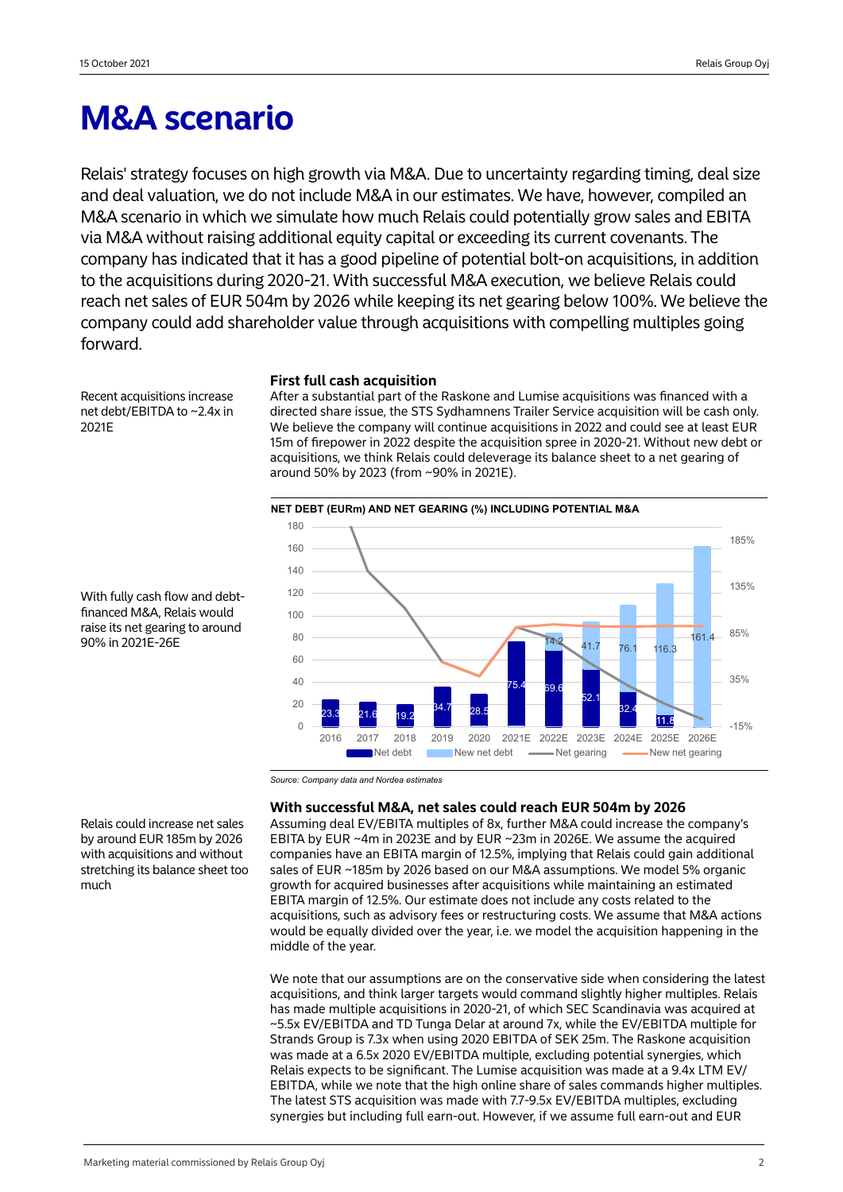## **M&A scenario**

Relais' strategy focuses on high growth via M&A. Due to uncertainty regarding timing, deal size and deal valuation, we do not include M&A in our estimates. We have, however, compiled an M&A scenario in which we simulate how much Relais could potentially grow sales and EBITA via M&A without raising additional equity capital or exceeding its current covenants. The company has indicated that it has a good pipeline of potential bolt-on acquisitions, in addition to the acquisitions during 2020-21. With successful M&A execution, we believe Relais could reach net sales of EUR 504m by 2026 while keeping its net gearing below 100%. We believe the company could add shareholder value through acquisitions with compelling multiples going forward.

Recent acquisitions increase net debt/EBITDA to ~2.4x in 2021E

### **First full cash acquisition**

After a substantial part of the Raskone and Lumise acquisitions was financed with a directed share issue, the STS Sydhamnens Trailer Service acquisition will be cash only. We believe the company will continue acquisitions in 2022 and could see at least EUR 15m of firepower in 2022 despite the acquisition spree in 2020-21. Without new debt or acquisitions, we think Relais could deleverage its balance sheet to a net gearing of around 50% by 2023 (from ~90% in 2021E).



With fully cash flow and debtfinanced M&A, Relais would raise its net gearing to around 90% in 2021E-26E

*Source: Company data and Nordea estimates*

### **With successful M&A, net sales could reach EUR 504m by 2026**

Assuming deal EV/EBITA multiples of 8x, further M&A could increase the company's EBITA by EUR ~4m in 2023E and by EUR ~23m in 2026E. We assume the acquired companies have an EBITA margin of 12.5%, implying that Relais could gain additional sales of EUR ~185m by 2026 based on our M&A assumptions. We model 5% organic growth for acquired businesses after acquisitions while maintaining an estimated EBITA margin of 12.5%. Our estimate does not include any costs related to the acquisitions, such as advisory fees or restructuring costs. We assume that M&A actions would be equally divided over the year, i.e. we model the acquisition happening in the middle of the year.

We note that our assumptions are on the conservative side when considering the latest acquisitions, and think larger targets would command slightly higher multiples. Relais has made multiple acquisitions in 2020-21, of which SEC Scandinavia was acquired at ~5.5x EV/EBITDA and TD Tunga Delar at around 7x, while the EV/EBITDA multiple for Strands Group is 7.3x when using 2020 EBITDA of SEK 25m. The Raskone acquisition was made at a 6.5x 2020 EV/EBITDA multiple, excluding potential synergies, which Relais expects to be significant. The Lumise acquisition was made at a 9.4x LTM EV/ EBITDA, while we note that the high online share of sales commands higher multiples. The latest STS acquisition was made with 7.7-9.5x EV/EBITDA multiples, excluding synergies but including full earn-out. However, if we assume full earn-out and EUR

Relais could increase net sales by around EUR 185m by 2026 with acquisitions and without stretching its balance sheet too much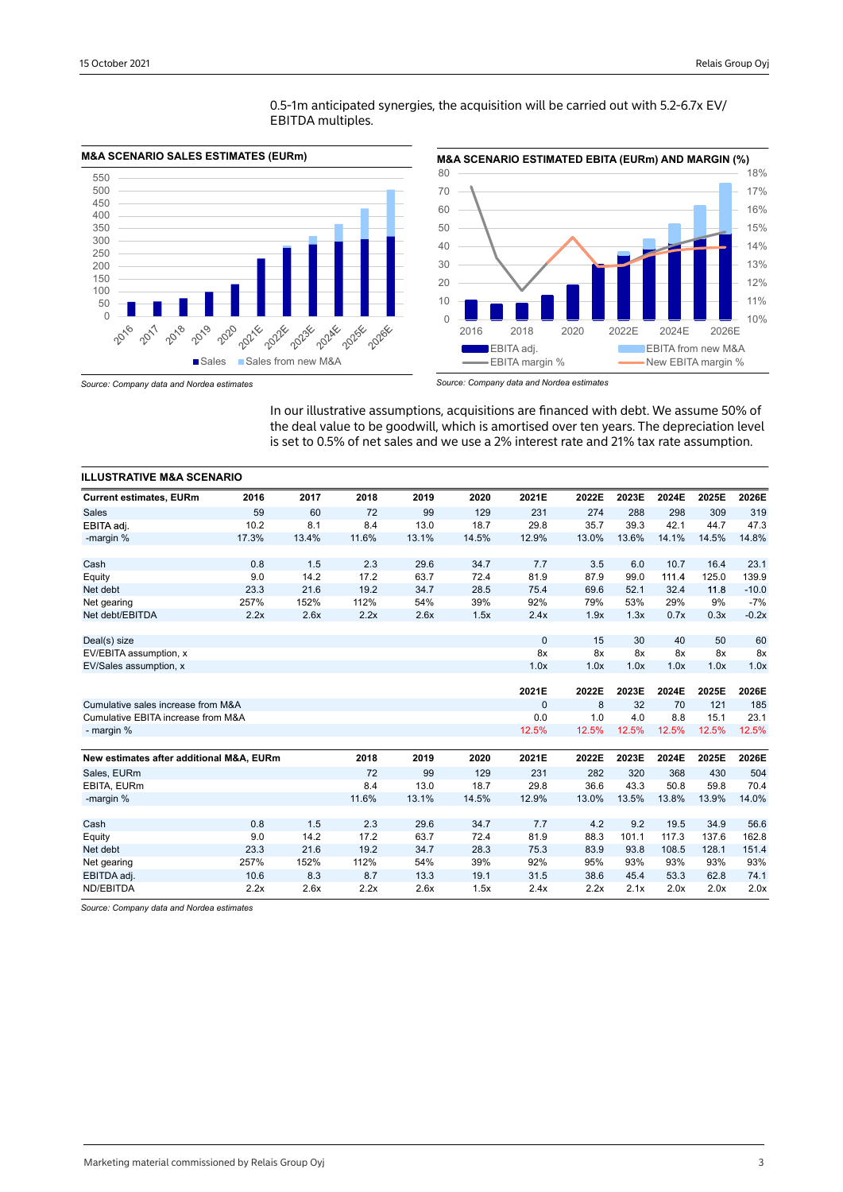

0.5-1m anticipated synergies, the acquisition will be carried out with 5.2-6.7x EV/ EBITDA multiples.



*Source: Company data and Nordea estimates*

In our illustrative assumptions, acquisitions are financed with debt. We assume 50% of the deal value to be goodwill, which is amortised over ten years. The depreciation level is set to 0.5% of net sales and we use a 2% interest rate and 21% tax rate assumption.

| <b>ILLUSTRATIVE M&amp;A SCENARIO</b>     |       |       |       |       |       |              |       |       |       |       |         |
|------------------------------------------|-------|-------|-------|-------|-------|--------------|-------|-------|-------|-------|---------|
| <b>Current estimates, EURm</b>           | 2016  | 2017  | 2018  | 2019  | 2020  | 2021E        | 2022E | 2023E | 2024E | 2025E | 2026E   |
| <b>Sales</b>                             | 59    | 60    | 72    | 99    | 129   | 231          | 274   | 288   | 298   | 309   | 319     |
| EBITA adj.                               | 10.2  | 8.1   | 8.4   | 13.0  | 18.7  | 29.8         | 35.7  | 39.3  | 42.1  | 44.7  | 47.3    |
| -margin %                                | 17.3% | 13.4% | 11.6% | 13.1% | 14.5% | 12.9%        | 13.0% | 13.6% | 14.1% | 14.5% | 14.8%   |
| Cash                                     | 0.8   | 1.5   | 2.3   | 29.6  | 34.7  | 7.7          | 3.5   | 6.0   | 10.7  | 16.4  | 23.1    |
| Equity                                   | 9.0   | 14.2  | 17.2  | 63.7  | 72.4  | 81.9         | 87.9  | 99.0  | 111.4 | 125.0 | 139.9   |
| Net debt                                 | 23.3  | 21.6  | 19.2  | 34.7  | 28.5  | 75.4         | 69.6  | 52.1  | 32.4  | 11.8  | $-10.0$ |
| Net gearing                              | 257%  | 152%  | 112%  | 54%   | 39%   | 92%          | 79%   | 53%   | 29%   | 9%    | $-7%$   |
| Net debt/EBITDA                          | 2.2x  | 2.6x  | 2.2x  | 2.6x  | 1.5x  | 2.4x         | 1.9x  | 1.3x  | 0.7x  | 0.3x  | $-0.2x$ |
| Deal(s) size                             |       |       |       |       |       | $\mathbf{0}$ | 15    | 30    | 40    | 50    | 60      |
| EV/EBITA assumption, x                   |       |       |       |       |       | 8x           | 8x    | 8x    | 8x    | 8x    | 8x      |
| EV/Sales assumption, x                   |       |       |       |       |       | 1.0x         | 1.0x  | 1.0x  | 1.0x  | 1.0x  | 1.0x    |
|                                          |       |       |       |       |       | 2021E        | 2022E | 2023E | 2024E | 2025E | 2026E   |
| Cumulative sales increase from M&A       |       |       |       |       |       | $\mathbf{0}$ | 8     | 32    | 70    | 121   | 185     |
| Cumulative EBITA increase from M&A       |       |       |       |       |       | 0.0          | 1.0   | 4.0   | 8.8   | 15.1  | 23.1    |
| - margin %                               |       |       |       |       |       | 12.5%        | 12.5% | 12.5% | 12.5% | 12.5% | 12.5%   |
|                                          |       |       |       |       |       |              |       |       |       |       |         |
| New estimates after additional M&A, EURm |       |       | 2018  | 2019  | 2020  | 2021E        | 2022E | 2023E | 2024E | 2025E | 2026E   |
| Sales, EURm                              |       |       | 72    | 99    | 129   | 231          | 282   | 320   | 368   | 430   | 504     |
| EBITA, EURm                              |       |       | 8.4   | 13.0  | 18.7  | 29.8         | 36.6  | 43.3  | 50.8  | 59.8  | 70.4    |
| -margin %                                |       |       | 11.6% | 13.1% | 14.5% | 12.9%        | 13.0% | 13.5% | 13.8% | 13.9% | 14.0%   |
| Cash                                     | 0.8   | 1.5   | 2.3   | 29.6  | 34.7  | 7.7          | 4.2   | 9.2   | 19.5  | 34.9  | 56.6    |
| Equity                                   | 9.0   | 14.2  | 17.2  | 63.7  | 72.4  | 81.9         | 88.3  | 101.1 | 117.3 | 137.6 | 162.8   |
| Net debt                                 | 23.3  | 21.6  | 19.2  | 34.7  | 28.3  | 75.3         | 83.9  | 93.8  | 108.5 | 128.1 | 151.4   |
| Net gearing                              | 257%  | 152%  | 112%  | 54%   | 39%   | 92%          | 95%   | 93%   | 93%   | 93%   | 93%     |
| EBITDA adj.                              | 10.6  | 8.3   | 8.7   | 13.3  | 19.1  | 31.5         | 38.6  | 45.4  | 53.3  | 62.8  | 74.1    |
| ND/EBITDA                                | 2.2x  | 2.6x  | 2.2x  | 2.6x  | 1.5x  | 2.4x         | 2.2x  | 2.1x  | 2.0x  | 2.0x  | 2.0x    |

*Source: Company data and Nordea estimates*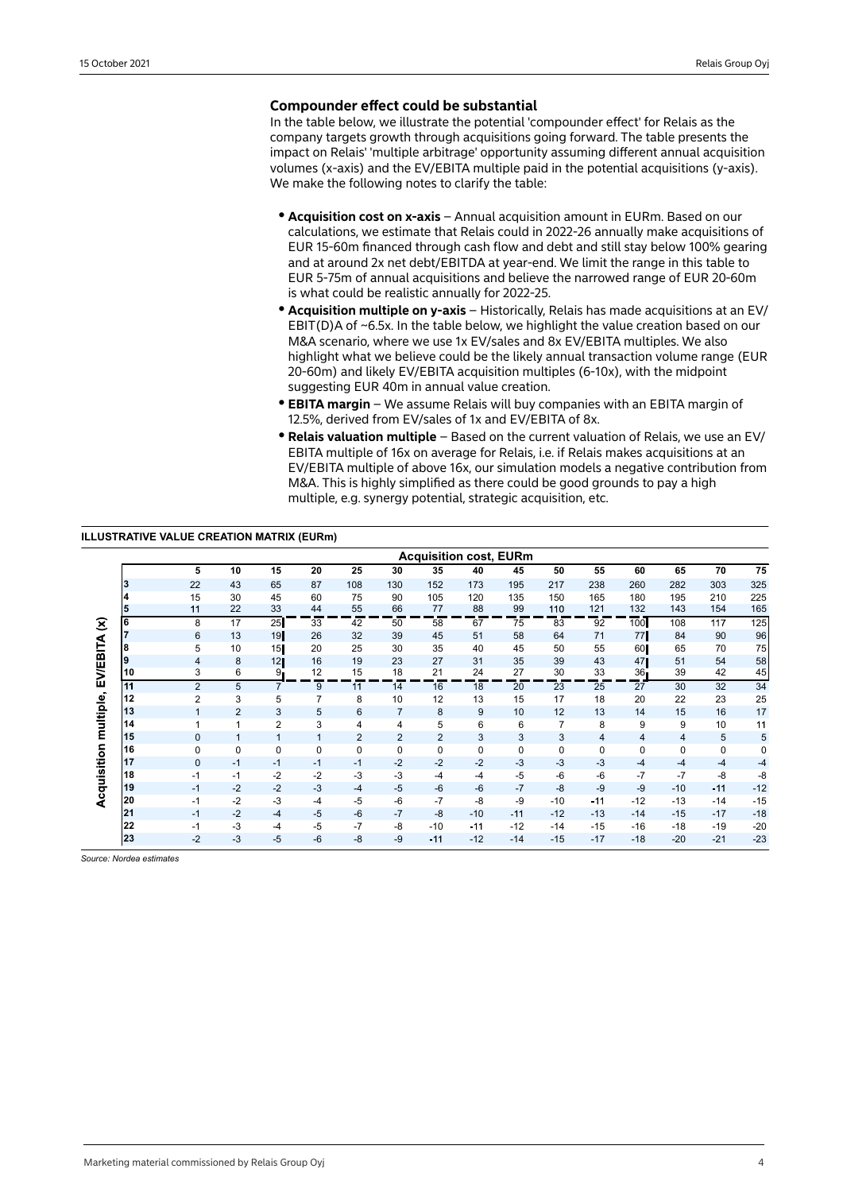## **Compounder effect could be substantial**

In the table below, we illustrate the potential 'compounder effect' for Relais as the company targets growth through acquisitions going forward. The table presents the impact on Relais' 'multiple arbitrage' opportunity assuming different annual acquisition volumes (x-axis) and the EV/EBITA multiple paid in the potential acquisitions (y-axis). We make the following notes to clarify the table:

- **Acquisition cost on x-axis** Annual acquisition amount in EURm. Based on our calculations, we estimate that Relais could in 2022-26 annually make acquisitions of EUR 15-60m financed through cash flow and debt and still stay below 100% gearing and at around 2x net debt/EBITDA at year-end. We limit the range in this table to EUR 5-75m of annual acquisitions and believe the narrowed range of EUR 20-60m is what could be realistic annually for 2022-25.
- **Acquisition multiple on y-axis** Historically, Relais has made acquisitions at an EV/ EBIT(D)A of  $\sim$  6.5x. In the table below, we highlight the value creation based on our M&A scenario, where we use 1x EV/sales and 8x EV/EBITA multiples. We also highlight what we believe could be the likely annual transaction volume range (EUR 20-60m) and likely EV/EBITA acquisition multiples (6-10x), with the midpoint suggesting EUR 40m in annual value creation.
- **EBITA margin** We assume Relais will buy companies with an EBITA margin of 12.5%, derived from EV/sales of 1x and EV/EBITA of 8x.
- **Relais valuation multiple** Based on the current valuation of Relais, we use an EV/ EBITA multiple of 16x on average for Relais, i.e. if Relais makes acquisitions at an EV/EBITA multiple of above 16x, our simulation models a negative contribution from M&A. This is highly simplified as there could be good grounds to pay a high multiple, e.g. synergy potential, strategic acquisition, etc.

### **ILLUSTRATIVE VALUE CREATION MATRIX (EURm)**

|                            |    | <b>Acquisition cost, EURm</b> |                |                 |              |                |                |       |       |             |                |                |                         |             |             |       |
|----------------------------|----|-------------------------------|----------------|-----------------|--------------|----------------|----------------|-------|-------|-------------|----------------|----------------|-------------------------|-------------|-------------|-------|
|                            |    | 5                             | 10             | 15              | 20           | 25             | 30             | 35    | 40    | 45          | 50             | 55             | 60                      | 65          | 70          | 75    |
|                            | 3  | 22                            | 43             | 65              | 87           | 108            | 130            | 152   | 173   | 195         | 217            | 238            | 260                     | 282         | 303         | 325   |
|                            | 4  | 15                            | 30             | 45              | 60           | 75             | 90             | 105   | 120   | 135         | 150            | 165            | 180                     | 195         | 210         | 225   |
|                            |    | 11                            | 22             | 33              | 44           | 55             | 66             | 77    | 88    | 99          | 110            | 121            | 132                     | 143         | 154         | 165   |
| $\widehat{\boldsymbol{z}}$ | 6  | 8                             | 17             | 25              | 33           | 42             | 50             | 58    | 67    | 75          | 83             | 92             | 100                     | 108         | 117         | 125   |
|                            |    | 6                             | 13             | 19              | 26           | 32             | 39             | 45    | 51    | 58          | 64             | 71             | 77                      | 84          | 90          | 96    |
|                            | 8  | 5                             | 10             | 15              | 20           | 25             | 30             | 35    | 40    | 45          | 50             | 55             | 60                      | 65          | 70          | 75    |
|                            | 9  | 4                             | 8              | 12 <sub>l</sub> | 16           | 19             | 23             | 27    | 31    | 35          | 39             | 43             | 471                     | 51          | 54          | 58    |
| <b>EV/EBITA</b>            | 10 | 3                             | 6              | 9.              | 12           | 15             | 18             | 21    | 24    | 27          | 30             | 33             | 36 <sub>1</sub><br>- 11 | 39          | 42          | 45    |
|                            | 11 | $\overline{2}$                | 5              |                 | 9            | 11             | 14             | 16    | 18    | 20          | 23             | 25             | 27                      | 30          | 32          | 34    |
| multiple,                  | 12 | 2                             | 3              | 5               | 7            | 8              | 10             | 12    | 13    | 15          | 17             | 18             | 20                      | 22          | 23          | 25    |
|                            | 13 |                               | $\overline{2}$ | 3               | 5            | 6              | $\overline{7}$ | 8     | 9     | 10          | 12             | 13             | 14                      | 15          | 16          | 17    |
|                            | 14 |                               | 1              | $\overline{2}$  | 3            | 4              | 4              | 5     | 6     | 6           | $\overline{7}$ | 8              | 9                       | 9           | 10          | 11    |
|                            | 15 | 0                             | $\blacksquare$ | $\mathbf{1}$    | $\mathbf{1}$ | $\overline{2}$ | $\overline{2}$ | 2     | 3     | 3           | 3              | $\overline{4}$ | 4                       | 4           | 5           | 5     |
| Acquisition                | 16 | 0                             | 0              | 0               | $\mathbf 0$  | $\mathbf 0$    | 0              | 0     | 0     | $\mathbf 0$ | 0              | 0              | 0                       | $\mathbf 0$ | $\mathbf 0$ | 0     |
|                            | 17 | $\mathbf{0}$                  | $-1$           | $-1$            | $-1$         | $-1$           | $-2$           | $-2$  | $-2$  | $-3$        | $-3$           | $-3$           | $-4$                    | $-4$        | $-4$        | $-4$  |
|                            | 18 | $-1$                          | $-1$           | $-2$            | $-2$         | $-3$           | $-3$           | -4    | $-4$  | $-5$        | $-6$           | $-6$           | $-7$                    | $-7$        | $-8$        | $-8$  |
|                            | 19 | $-1$                          | $-2$           | $-2$            | $-3$         | $-4$           | $-5$           | $-6$  | $-6$  | $-7$        | $-8$           | $-9$           | $-9$                    | $-10$       | $-11$       | $-12$ |
|                            | 20 | $-1$                          | $-2$           | $-3$            | $-4$         | $-5$           | $-6$           | $-7$  | $-8$  | $-9$        | $-10$          | $-11$          | $-12$                   | $-13$       | $-14$       | $-15$ |
|                            | 21 | $-1$                          | $-2$           | $-4$            | $-5$         | $-6$           | $-7$           | -8    | $-10$ | $-11$       | $-12$          | $-13$          | $-14$                   | $-15$       | $-17$       | $-18$ |
|                            | 22 | $-1$                          | $-3$           | $-4$            | $-5$         | $-7$           | $-8$           | $-10$ | $-11$ | $-12$       | $-14$          | $-15$          | $-16$                   | $-18$       | $-19$       | $-20$ |
|                            | 23 | $-2$                          | $-3$           | $-5$            | $-6$         | $-8$           | $-9$           | $-11$ | $-12$ | $-14$       | $-15$          | $-17$          | $-18$                   | $-20$       | $-21$       | $-23$ |

*Source: Nordea estimates*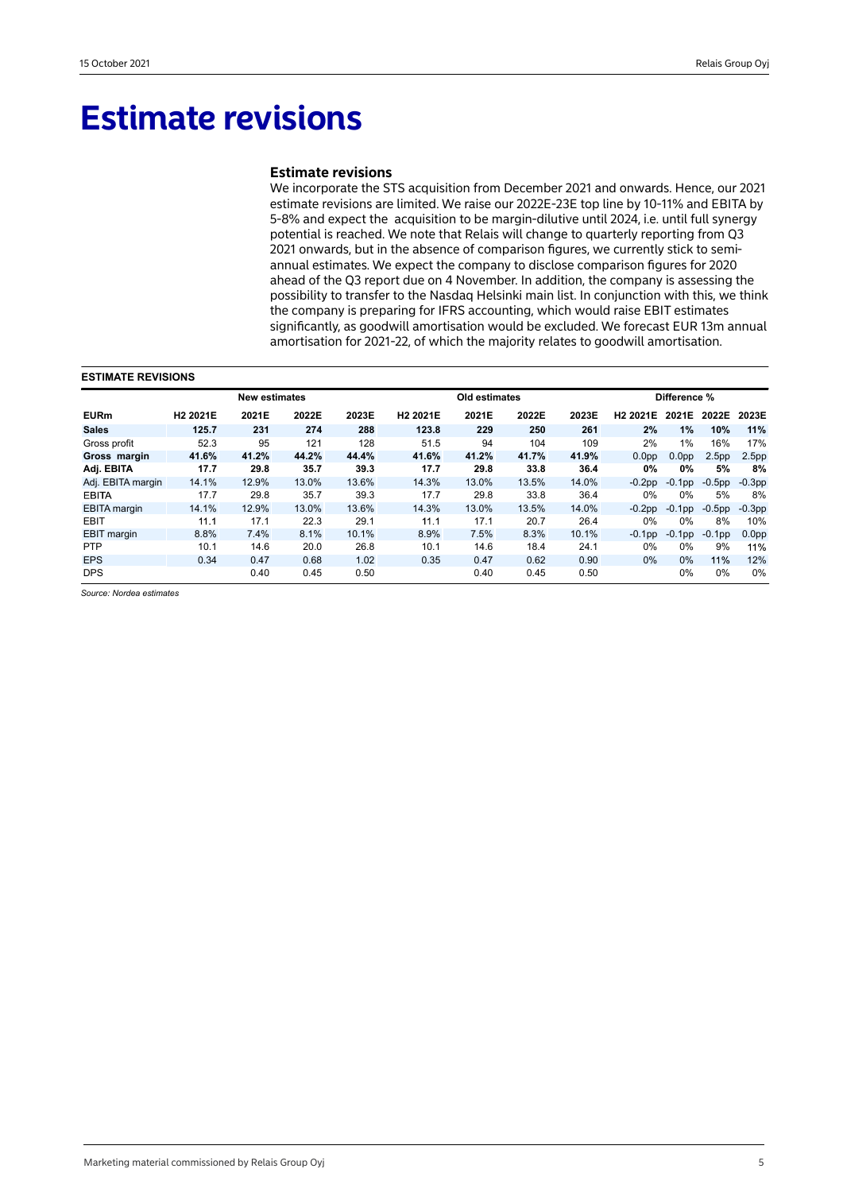## **Estimate revisions**

### **Estimate revisions**

We incorporate the STS acquisition from December 2021 and onwards. Hence, our 2021 estimate revisions are limited. We raise our 2022E-23E top line by 10-11% and EBITA by 5-8% and expect the acquisition to be margin-dilutive until 2024, i.e. until full synergy potential is reached. We note that Relais will change to quarterly reporting from Q3 2021 onwards, but in the absence of comparison figures, we currently stick to semiannual estimates. We expect the company to disclose comparison figures for 2020 ahead of the Q3 report due on 4 November. In addition, the company is assessing the possibility to transfer to the Nasdaq Helsinki main list. In conjunction with this, we think the company is preparing for IFRS accounting, which would raise EBIT estimates significantly, as goodwill amortisation would be excluded. We forecast EUR 13m annual amortisation for 2021-22, of which the majority relates to goodwill amortisation.

#### **ESTIMATE REVISIONS**

|                     |                      | <b>New estimates</b> |       |       |                      | Old estimates |       |       |                      | Difference %      |                   |                   |  |
|---------------------|----------------------|----------------------|-------|-------|----------------------|---------------|-------|-------|----------------------|-------------------|-------------------|-------------------|--|
| <b>EURm</b>         | H <sub>2</sub> 2021E | 2021E                | 2022E | 2023E | H <sub>2</sub> 2021E | 2021E         | 2022E | 2023E | H <sub>2</sub> 2021E | 2021E             | 2022E             | 2023E             |  |
| <b>Sales</b>        | 125.7                | 231                  | 274   | 288   | 123.8                | 229           | 250   | 261   | 2%                   | 1%                | 10%               | 11%               |  |
| Gross profit        | 52.3                 | 95                   | 121   | 128   | 51.5                 | 94            | 104   | 109   | 2%                   | 1%                | 16%               | 17%               |  |
| Gross margin        | 41.6%                | 41.2%                | 44.2% | 44.4% | 41.6%                | 41.2%         | 41.7% | 41.9% | 0.0 <sub>pp</sub>    | 0.0 <sub>pp</sub> | 2.5 <sub>pp</sub> | 2.5 <sub>pp</sub> |  |
| Adj. EBITA          | 17.7                 | 29.8                 | 35.7  | 39.3  | 17.7                 | 29.8          | 33.8  | 36.4  | $0\%$                | 0%                | 5%                | 8%                |  |
| Adj. EBITA margin   | 14.1%                | 12.9%                | 13.0% | 13.6% | 14.3%                | 13.0%         | 13.5% | 14.0% | $-0.2$ pp            | $-0.1$ pp         | $-0.5$ pp         | $-0.3pp$          |  |
| <b>EBITA</b>        | 17.7                 | 29.8                 | 35.7  | 39.3  | 17.7                 | 29.8          | 33.8  | 36.4  | 0%                   | $0\%$             | 5%                | 8%                |  |
| <b>EBITA</b> margin | 14.1%                | 12.9%                | 13.0% | 13.6% | 14.3%                | 13.0%         | 13.5% | 14.0% | $-0.2pp$             | $-0.1$ pp         | $-0.5$ pp         | $-0.3pp$          |  |
| <b>EBIT</b>         | 11.1                 | 17.1                 | 22.3  | 29.1  | 11.1                 | 17.1          | 20.7  | 26.4  | 0%                   | $0\%$             | 8%                | 10%               |  |
| <b>EBIT</b> margin  | 8.8%                 | 7.4%                 | 8.1%  | 10.1% | 8.9%                 | 7.5%          | 8.3%  | 10.1% | $-0.1$ pp            | $-0.1$ pp         | $-0.1$ pp         | 0.0 <sub>pp</sub> |  |
| <b>PTP</b>          | 10.1                 | 14.6                 | 20.0  | 26.8  | 10.1                 | 14.6          | 18.4  | 24.1  | $0\%$                | $0\%$             | 9%                | 11%               |  |
| <b>EPS</b>          | 0.34                 | 0.47                 | 0.68  | 1.02  | 0.35                 | 0.47          | 0.62  | 0.90  | $0\%$                | 0%                | 11%               | 12%               |  |
| <b>DPS</b>          |                      | 0.40                 | 0.45  | 0.50  |                      | 0.40          | 0.45  | 0.50  |                      | $0\%$             | $0\%$             | 0%                |  |

*Source: Nordea estimates*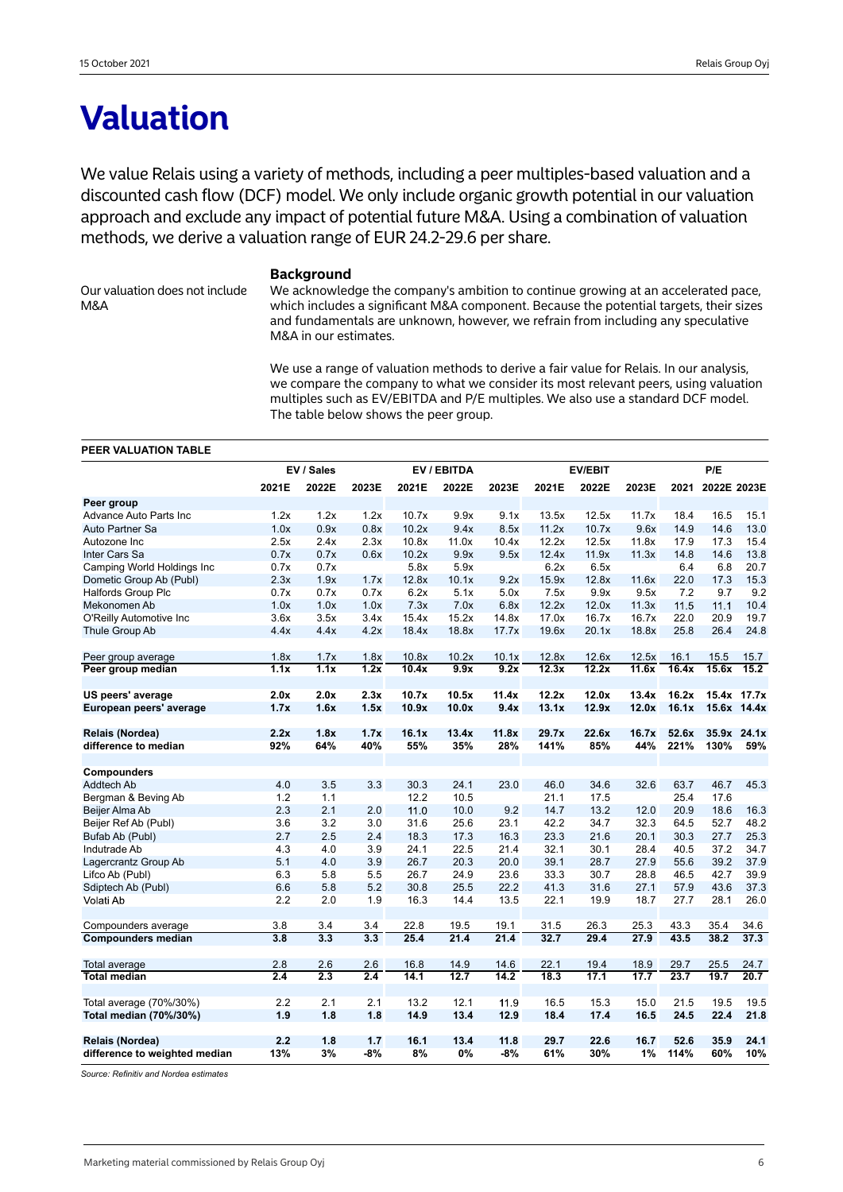## **Valuation**

We value Relais using a variety of methods, including a peer multiples-based valuation and a discounted cash flow (DCF) model. We only include organic growth potential in our valuation approach and exclude any impact of potential future M&A. Using a combination of valuation methods, we derive a valuation range of EUR 24.2-29.6 per share.

Our valuation does not include M&A

### **Background**

We acknowledge the company's ambition to continue growing at an accelerated pace, which includes a significant M&A component. Because the potential targets, their sizes and fundamentals are unknown, however, we refrain from including any speculative M&A in our estimates.

We use a range of valuation methods to derive a fair value for Relais. In our analysis, we compare the company to what we consider its most relevant peers, using valuation multiples such as EV/EBITDA and P/E multiples. We also use a standard DCF model. The table below shows the peer group.

#### **PEER VALUATION TABLE**

|                               |                   | EV / Sales<br>EV / EBITDA |                   |       |       |       | <b>EV/EBIT</b> |       | P/E   |       |             |             |
|-------------------------------|-------------------|---------------------------|-------------------|-------|-------|-------|----------------|-------|-------|-------|-------------|-------------|
|                               | 2021E             | 2022E                     | 2023E             | 2021E | 2022E | 2023E | 2021E          | 2022E | 2023E | 2021  | 2022E 2023E |             |
| Peer group                    |                   |                           |                   |       |       |       |                |       |       |       |             |             |
| <b>Advance Auto Parts Inc</b> | 1.2x              | 1.2x                      | 1.2x              | 10.7x | 9.9x  | 9.1x  | 13.5x          | 12.5x | 11.7x | 18.4  | 16.5        | 15.1        |
| Auto Partner Sa               | 1.0x              | 0.9x                      | 0.8x              | 10.2x | 9.4x  | 8.5x  | 11.2x          | 10.7x | 9.6x  | 14.9  | 14.6        | 13.0        |
| Autozone Inc                  | 2.5x              | 2.4x                      | 2.3x              | 10.8x | 11.0x | 10.4x | 12.2x          | 12.5x | 11.8x | 17.9  | 17.3        | 15.4        |
| Inter Cars Sa                 | 0.7x              | 0.7x                      | 0.6x              | 10.2x | 9.9x  | 9.5x  | 12.4x          | 11.9x | 11.3x | 14.8  | 14.6        | 13.8        |
| Camping World Holdings Inc    | 0.7x              | 0.7x                      |                   | 5.8x  | 5.9x  |       | 6.2x           | 6.5x  |       | 6.4   | 6.8         | 20.7        |
| Dometic Group Ab (Publ)       | 2.3x              | 1.9x                      | 1.7x              | 12.8x | 10.1x | 9.2x  | 15.9x          | 12.8x | 11.6x | 22.0  | 17.3        | 15.3        |
| <b>Halfords Group Plc</b>     | 0.7x              | 0.7x                      | 0.7x              | 6.2x  | 5.1x  | 5.0x  | 7.5x           | 9.9x  | 9.5x  | 7.2   | 9.7         | 9.2         |
| Mekonomen Ab                  | 1.0x              | 1.0x                      | 1.0x              | 7.3x  | 7.0x  | 6.8x  | 12.2x          | 12.0x | 11.3x | 11.5  | 11.1        | 10.4        |
| O'Reilly Automotive Inc       | 3.6x              | 3.5x                      | 3.4x              | 15.4x | 15.2x | 14.8x | 17.0x          | 16.7x | 16.7x | 22.0  | 20.9        | 19.7        |
| Thule Group Ab                | 4.4x              | 4.4x                      | 4.2x              | 18.4x | 18.8x | 17.7x | 19.6x          | 20.1x | 18.8x | 25.8  | 26.4        | 24.8        |
| Peer group average            | 1.8x              | 1.7x                      | 1.8x              | 10.8x | 10.2x | 10.1x | 12.8x          | 12.6x | 12.5x | 16.1  | 15.5        | 15.7        |
| Peer group median             | $\overline{1.1x}$ | $\overline{1.1x}$         | $\overline{1.2x}$ | 10.4x | 9.9x  | 9.2x  | 12.3x          | 12.2x | 11.6x | 16.4x | 15.6x       | 15.2        |
| US peers' average             | 2.0x              | 2.0x                      | 2.3x              | 10.7x | 10.5x | 11.4x | 12.2x          | 12.0x | 13.4x | 16.2x |             | 15.4x 17.7x |
| European peers' average       | 1.7x              | 1.6x                      | 1.5x              | 10.9x | 10.0x | 9.4x  | 13.1x          | 12.9x | 12.0x | 16.1x |             | 15.6x 14.4x |
| Relais (Nordea)               | 2.2x              | 1.8x                      | 1.7x              | 16.1x | 13.4x | 11.8x | 29.7x          | 22.6x | 16.7x | 52.6x |             | 35.9x 24.1x |
| difference to median          | 92%               | 64%                       | 40%               | 55%   | 35%   | 28%   | 141%           | 85%   | 44%   | 221%  | 130%        | 59%         |
|                               |                   |                           |                   |       |       |       |                |       |       |       |             |             |
| Compounders                   |                   |                           |                   |       |       |       |                |       |       |       |             |             |
| Addtech Ab                    | 4.0               | 3.5                       | 3.3               | 30.3  | 24.1  | 23.0  | 46.0           | 34.6  | 32.6  | 63.7  | 46.7        | 45.3        |
| Bergman & Beving Ab           | 1.2               | 1.1                       |                   | 12.2  | 10.5  |       | 21.1           | 17.5  |       | 25.4  | 17.6        |             |
| Beijer Alma Ab                | 2.3               | 2.1                       | 2.0               | 11.0  | 10.0  | 9.2   | 14.7           | 13.2  | 12.0  | 20.9  | 18.6        | 16.3        |
| Beijer Ref Ab (Publ)          | 3.6               | 3.2                       | 3.0               | 31.6  | 25.6  | 23.1  | 42.2           | 34.7  | 32.3  | 64.5  | 52.7        | 48.2        |
| Bufab Ab (Publ)               | 2.7               | 2.5                       | 2.4               | 18.3  | 17.3  | 16.3  | 23.3           | 21.6  | 20.1  | 30.3  | 27.7        | 25.3        |
| Indutrade Ab                  | 4.3               | 4.0                       | 3.9               | 24.1  | 22.5  | 21.4  | 32.1           | 30.1  | 28.4  | 40.5  | 37.2        | 34.7        |
| Lagercrantz Group Ab          | 5.1               | 4.0                       | 3.9               | 26.7  | 20.3  | 20.0  | 39.1           | 28.7  | 27.9  | 55.6  | 39.2        | 37.9        |
| Lifco Ab (Publ)               | 6.3               | 5.8                       | 5.5               | 26.7  | 24.9  | 23.6  | 33.3           | 30.7  | 28.8  | 46.5  | 42.7        | 39.9        |
| Sdiptech Ab (Publ)            | 6.6               | 5.8                       | 5.2               | 30.8  | 25.5  | 22.2  | 41.3           | 31.6  | 27.1  | 57.9  | 43.6        | 37.3        |
| Volati Ab                     | 2.2               | 2.0                       | 1.9               | 16.3  | 14.4  | 13.5  | 22.1           | 19.9  | 18.7  | 27.7  | 28.1        | 26.0        |
| Compounders average           | 3.8               | 3.4                       | 3.4               | 22.8  | 19.5  | 19.1  | 31.5           | 26.3  | 25.3  | 43.3  | 35.4        | 34.6        |
| <b>Compounders median</b>     | $\overline{3.8}$  | 3.3                       | $\overline{3.3}$  | 25.4  | 21.4  | 21.4  | 32.7           | 29.4  | 27.9  | 43.5  | 38.2        | 37.3        |
|                               |                   |                           |                   |       |       |       |                |       |       |       |             |             |
| Total average                 | 2.8               | 2.6                       | 2.6               | 16.8  | 14.9  | 14.6  | 22.1           | 19.4  | 18.9  | 29.7  | 25.5        | 24.7        |
| <b>Total median</b>           | $\overline{2.4}$  | 2.3                       | 2.4               | 14.1  | 12.7  | 14.2  | 18.3           | 17.1  | 17.7  | 23.7  | 19.7        | 20.7        |
| Total average (70%/30%)       | 2.2               | 2.1                       | 2.1               | 13.2  | 12.1  | 11.9  | 16.5           | 15.3  | 15.0  | 21.5  | 19.5        | 19.5        |
| Total median (70%/30%)        | 1.9               | 1.8                       | 1.8               | 14.9  | 13.4  | 12.9  | 18.4           | 17.4  | 16.5  | 24.5  | 22.4        | 21.8        |
| Relais (Nordea)               | 2.2               | 1.8                       | 1.7               | 16.1  | 13.4  | 11.8  | 29.7           | 22.6  | 16.7  | 52.6  | 35.9        | 24.1        |
| difference to weighted median | 13%               | 3%                        | $-8%$             | 8%    | 0%    | $-8%$ | 61%            | 30%   | 1%    | 114%  | 60%         | 10%         |

*Source: Refinitiv and Nordea estimates*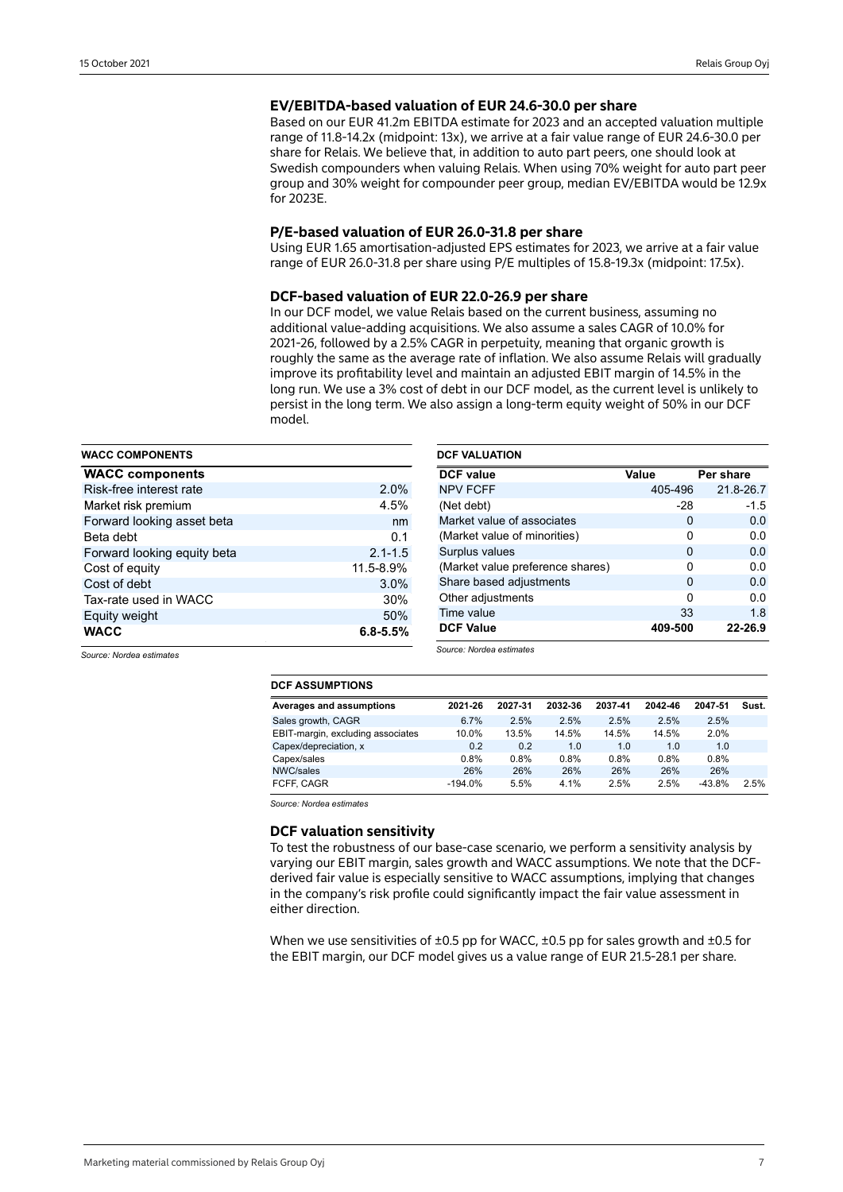## **EV/EBITDA-based valuation of EUR 24.6-30.0 per share**

Based on our EUR 41.2m EBITDA estimate for 2023 and an accepted valuation multiple range of 11.8-14.2x (midpoint: 13x), we arrive at a fair value range of EUR 24.6-30.0 per share for Relais. We believe that, in addition to auto part peers, one should look at Swedish compounders when valuing Relais. When using 70% weight for auto part peer group and 30% weight for compounder peer group, median EV/EBITDA would be 12.9x for 2023E.

#### **P/E-based valuation of EUR 26.0-31.8 per share**

Using EUR 1.65 amortisation-adjusted EPS estimates for 2023, we arrive at a fair value range of EUR 26.0-31.8 per share using P/E multiples of 15.8-19.3x (midpoint: 17.5x).

#### **DCF-based valuation of EUR 22.0-26.9 per share**

In our DCF model, we value Relais based on the current business, assuming no additional value-adding acquisitions. We also assume a sales CAGR of 10.0% for 2021-26, followed by a 2.5% CAGR in perpetuity, meaning that organic growth is roughly the same as the average rate of inflation. We also assume Relais will gradually improve its profitability level and maintain an adjusted EBIT margin of 14.5% in the long run. We use a 3% cost of debt in our DCF model, as the current level is unlikely to persist in the long term. We also assign a long-term equity weight of 50% in our DCF model.

| <b>WACC COMPONENTS</b>      |              |
|-----------------------------|--------------|
| <b>WACC components</b>      |              |
| Risk-free interest rate     | 2.0%         |
| Market risk premium         | 4.5%         |
| Forward looking asset beta  | nm           |
| Beta debt                   | 0.1          |
| Forward looking equity beta | $2.1 - 1.5$  |
| Cost of equity              | 11.5-8.9%    |
| Cost of debt                | 3.0%         |
| Tax-rate used in WACC       | 30%          |
| Equity weight               | 50%          |
| <b>WACC</b>                 | $6.8 - 5.5%$ |

| <b>DCF VALUATION</b>             |         |           |
|----------------------------------|---------|-----------|
| <b>DCF</b> value                 | Value   | Per share |
| <b>NPV FCFF</b>                  | 405-496 | 21.8-26.7 |
| (Net debt)                       | $-28$   | $-1.5$    |
| Market value of associates       | 0       | 0.0       |
| (Market value of minorities)     | ŋ       | 0.0       |
| Surplus values                   | 0       | 0.0       |
| (Market value preference shares) | ŋ       | 0.0       |
| Share based adjustments          | 0       | 0.0       |
| Other adjustments                | ŋ       | 0.0       |
| Time value                       | 33      | 1.8       |
| <b>DCF Value</b>                 | 409-500 | 22-26.9   |

*Source: Nordea estimates*

*Source: Nordea estimates*

| --------------                    |           |         |         |         |         |          |       |
|-----------------------------------|-----------|---------|---------|---------|---------|----------|-------|
| Averages and assumptions          | 2021-26   | 2027-31 | 2032-36 | 2037-41 | 2042-46 | 2047-51  | Sust. |
| Sales growth, CAGR                | 6.7%      | 2.5%    | 2.5%    | 2.5%    | 2.5%    | 2.5%     |       |
| EBIT-margin, excluding associates | 10.0%     | 13.5%   | 14.5%   | 14.5%   | 14.5%   | 2.0%     |       |
| Capex/depreciation, x             | 0.2       | 0.2     | 1.0     | 1.0     | 1.0     | 1.0      |       |
| Capex/sales                       | 0.8%      | $0.8\%$ | 0.8%    | 0.8%    | 0.8%    | 0.8%     |       |
| NWC/sales                         | 26%       | 26%     | 26%     | 26%     | 26%     | 26%      |       |
| FCFF, CAGR                        | $-194.0%$ | 5.5%    | 4.1%    | 2.5%    | 2.5%    | $-43.8%$ | 2.5%  |

*Source: Nordea estimates*

**DCF ASSUMPTIONS**

## **DCF valuation sensitivity**

To test the robustness of our base-case scenario, we perform a sensitivity analysis by varying our EBIT margin, sales growth and WACC assumptions. We note that the DCFderived fair value is especially sensitive to WACC assumptions, implying that changes in the company's risk profile could significantly impact the fair value assessment in either direction.

When we use sensitivities of  $\pm 0.5$  pp for WACC,  $\pm 0.5$  pp for sales growth and  $\pm 0.5$  for the EBIT margin, our DCF model gives us a value range of EUR 21.5-28.1 per share.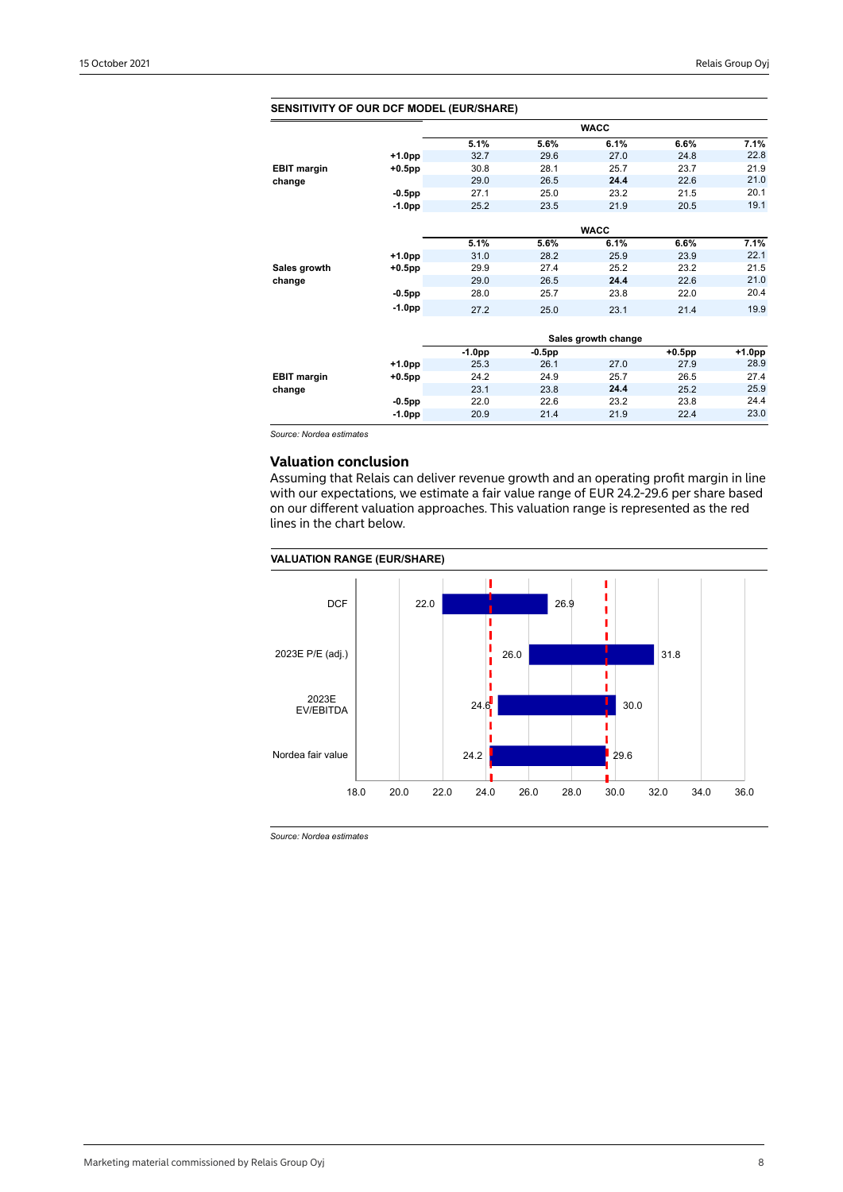| <b>SENSITIVITY OF OUR DCF MODEL (EUR/SHARE)</b> |           |          |           |                     |           |        |
|-------------------------------------------------|-----------|----------|-----------|---------------------|-----------|--------|
|                                                 |           |          |           | <b>WACC</b>         |           |        |
|                                                 |           | 5.1%     | 5.6%      | 6.1%                | 6.6%      | 7.1%   |
|                                                 | $+1.0pp$  | 32.7     | 29.6      | 27.0                | 24.8      | 22.8   |
| <b>EBIT margin</b>                              | $+0.5$ pp | 30.8     | 28.1      | 25.7                | 23.7      | 21.9   |
| change                                          |           | 29.0     | 26.5      | 24.4                | 22.6      | 21.0   |
|                                                 | $-0.5$ pp | 27.1     | 25.0      | 23.2                | 21.5      | 20.1   |
|                                                 | $-1.0pp$  | 25.2     | 23.5      | 21.9                | 20.5      | 19.1   |
|                                                 |           |          |           |                     |           |        |
|                                                 |           |          |           | <b>WACC</b>         |           |        |
|                                                 |           | 5.1%     | 5.6%      | 6.1%                | 6.6%      | 7.1%   |
|                                                 | $+1.0pp$  | 31.0     | 28.2      | 25.9                | 23.9      | 22.1   |
| Sales growth                                    | $+0.5$ pp | 29.9     | 27.4      | 25.2                | 23.2      | 21.5   |
| change                                          |           | 29.0     | 26.5      | 24.4                | 22.6      | 21.0   |
|                                                 | $-0.5$ pp | 28.0     | 25.7      | 23.8                | 22.0      | 20.4   |
|                                                 | $-1.0pp$  | 27.2     | 25.0      | 23.1                | 21.4      | 19.9   |
|                                                 |           |          |           |                     |           |        |
|                                                 |           |          |           | Sales growth change |           |        |
|                                                 |           | $-1.0pp$ | $-0.5$ pp |                     | $+0.5$ pp | +1.0pp |
|                                                 | $+1.0pp$  | 25.3     | 26.1      | 27.0                | 27.9      | 28.9   |
| <b>EBIT margin</b>                              | $+0.5$ pp | 24.2     | 24.9      | 25.7                | 26.5      | 27.4   |
| change                                          |           | 23.1     | 23.8      | 24.4                | 25.2      | 25.9   |
|                                                 | $-0.5$ pp | 22.0     | 22.6      | 23.2                | 23.8      | 24.4   |
|                                                 | $-1.0pp$  | 20.9     | 21.4      | 21.9                | 22.4      | 23.0   |
|                                                 |           |          |           |                     |           |        |

#### **SENSITIVITY OF OUR DCF MODEL (EUR/SHARE)**

*Source: Nordea estimates*

## **Valuation conclusion**

Assuming that Relais can deliver revenue growth and an operating profit margin in line with our expectations, we estimate a fair value range of EUR 24.2-29.6 per share based on our different valuation approaches. This valuation range is represented as the red lines in the chart below.

#### **VALUATION RANGE (EUR/SHARE)**



*Source: Nordea estimates*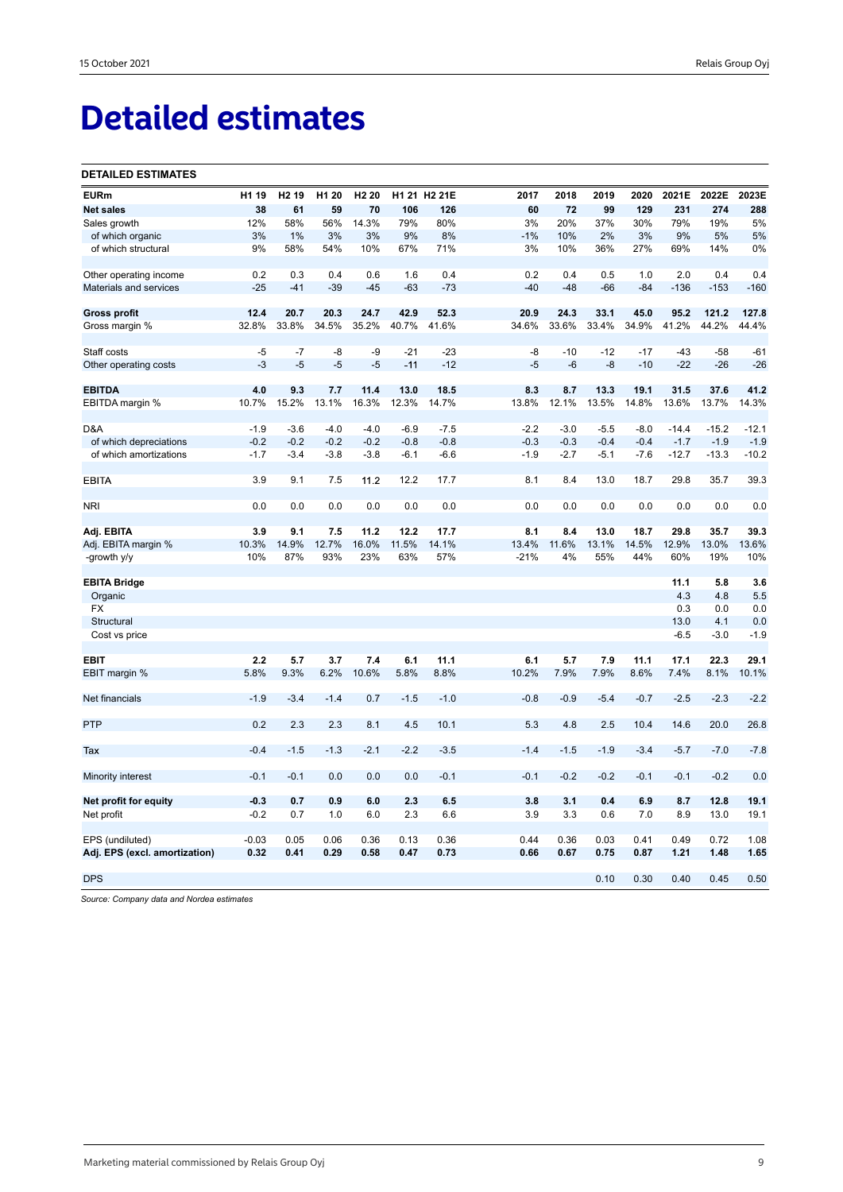# **Detailed estimates**

#### **DETAILED ESTIMATES**

| <b>EURm</b>                   | H1 19   | H <sub>2</sub> 19 | H1 20  | H <sub>2</sub> 20 |        | H1 21 H2 21E | 2017   | 2018   | 2019   | 2020   | 2021E   | 2022E   | 2023E   |
|-------------------------------|---------|-------------------|--------|-------------------|--------|--------------|--------|--------|--------|--------|---------|---------|---------|
| <b>Net sales</b>              | 38      | 61                | 59     | 70                | 106    | 126          | 60     | 72     | 99     | 129    | 231     | 274     | 288     |
| Sales growth                  | 12%     | 58%               | 56%    | 14.3%             | 79%    | 80%          | 3%     | 20%    | 37%    | 30%    | 79%     | 19%     | 5%      |
| of which organic              | 3%      | 1%                | 3%     | 3%                | 9%     | 8%           | $-1%$  | 10%    | 2%     | 3%     | 9%      | 5%      | 5%      |
| of which structural           | 9%      | 58%               | 54%    | 10%               | 67%    | 71%          | 3%     | 10%    | 36%    | 27%    | 69%     | 14%     | 0%      |
| Other operating income        | 0.2     | 0.3               | 0.4    | 0.6               | 1.6    | 0.4          | 0.2    | 0.4    | 0.5    | 1.0    | 2.0     | 0.4     | 0.4     |
| Materials and services        | $-25$   | $-41$             | $-39$  | $-45$             | $-63$  | $-73$        | $-40$  | $-48$  | $-66$  | $-84$  | $-136$  | $-153$  | $-160$  |
| <b>Gross profit</b>           | 12.4    | 20.7              | 20.3   | 24.7              | 42.9   | 52.3         | 20.9   | 24.3   | 33.1   | 45.0   | 95.2    | 121.2   | 127.8   |
| Gross margin %                | 32.8%   | 33.8%             | 34.5%  | 35.2%             | 40.7%  | 41.6%        | 34.6%  | 33.6%  | 33.4%  | 34.9%  | 41.2%   | 44.2%   | 44.4%   |
| Staff costs                   | $-5$    | $-7$              | -8     | -9                | $-21$  | $-23$        | -8     | $-10$  | $-12$  | $-17$  | $-43$   | $-58$   | $-61$   |
| Other operating costs         | $-3$    | $-5$              | $-5$   | $-5$              | $-11$  | $-12$        | $-5$   | $-6$   | $-8$   | $-10$  | $-22$   | $-26$   | $-26$   |
| <b>EBITDA</b>                 | 4.0     | 9.3               | 7.7    | 11.4              | 13.0   | 18.5         | 8.3    | 8.7    | 13.3   | 19.1   | 31.5    | 37.6    | 41.2    |
| EBITDA margin %               | 10.7%   | 15.2%             | 13.1%  | 16.3%             | 12.3%  | 14.7%        | 13.8%  | 12.1%  | 13.5%  | 14.8%  | 13.6%   | 13.7%   | 14.3%   |
| D&A                           | $-1.9$  | $-3.6$            | $-4.0$ | $-4.0$            | $-6.9$ | $-7.5$       | $-2.2$ | $-3.0$ | $-5.5$ | $-8.0$ | -14.4   | $-15.2$ | $-12.1$ |
| of which depreciations        | $-0.2$  | $-0.2$            | $-0.2$ | $-0.2$            | $-0.8$ | $-0.8$       | $-0.3$ | $-0.3$ | $-0.4$ | $-0.4$ | $-1.7$  | $-1.9$  | $-1.9$  |
| of which amortizations        | $-1.7$  | $-3.4$            | $-3.8$ | $-3.8$            | $-6.1$ | $-6.6$       | $-1.9$ | $-2.7$ | $-5.1$ | $-7.6$ | $-12.7$ | $-13.3$ | $-10.2$ |
| <b>EBITA</b>                  | 3.9     | 9.1               | 7.5    | 11.2              | 12.2   | 17.7         | 8.1    | 8.4    | 13.0   | 18.7   | 29.8    | 35.7    | 39.3    |
| <b>NRI</b>                    | 0.0     | 0.0               | 0.0    | 0.0               | 0.0    | 0.0          | 0.0    | 0.0    | 0.0    | 0.0    | 0.0     | 0.0     | 0.0     |
| Adj. EBITA                    | 3.9     | 9.1               | 7.5    | 11.2              | 12.2   | 17.7         | 8.1    | 8.4    | 13.0   | 18.7   | 29.8    | 35.7    | 39.3    |
| Adj. EBITA margin %           | 10.3%   | 14.9%             | 12.7%  | 16.0%             | 11.5%  | 14.1%        | 13.4%  | 11.6%  | 13.1%  | 14.5%  | 12.9%   | 13.0%   | 13.6%   |
| -growth y/y                   | 10%     | 87%               | 93%    | 23%               | 63%    | 57%          | $-21%$ | 4%     | 55%    | 44%    | 60%     | 19%     | 10%     |
| <b>EBITA Bridge</b>           |         |                   |        |                   |        |              |        |        |        |        | 11.1    | 5.8     | 3.6     |
| Organic                       |         |                   |        |                   |        |              |        |        |        |        | 4.3     | 4.8     | 5.5     |
| <b>FX</b>                     |         |                   |        |                   |        |              |        |        |        |        | 0.3     | 0.0     | 0.0     |
| Structural                    |         |                   |        |                   |        |              |        |        |        |        | 13.0    | 4.1     | 0.0     |
| Cost vs price                 |         |                   |        |                   |        |              |        |        |        |        | $-6.5$  | $-3.0$  | $-1.9$  |
| <b>EBIT</b>                   | 2.2     | 5.7               | 3.7    | 7.4               | 6.1    | 11.1         | 6.1    | 5.7    | 7.9    | 11.1   | 17.1    | 22.3    | 29.1    |
| EBIT margin %                 | 5.8%    | 9.3%              | 6.2%   | 10.6%             | 5.8%   | 8.8%         | 10.2%  | 7.9%   | 7.9%   | 8.6%   | 7.4%    | 8.1%    | 10.1%   |
| Net financials                | $-1.9$  | $-3.4$            | $-1.4$ | 0.7               | $-1.5$ | $-1.0$       | $-0.8$ | $-0.9$ | $-5.4$ | $-0.7$ | $-2.5$  | $-2.3$  | $-2.2$  |
| PTP                           | 0.2     | 2.3               | 2.3    | 8.1               | 4.5    | 10.1         | 5.3    | 4.8    | 2.5    | 10.4   | 14.6    | 20.0    | 26.8    |
| Tax                           | $-0.4$  | $-1.5$            | $-1.3$ | $-2.1$            | $-2.2$ | $-3.5$       | $-1.4$ | $-1.5$ | $-1.9$ | $-3.4$ | $-5.7$  | $-7.0$  | $-7.8$  |
| Minority interest             | $-0.1$  | $-0.1$            | 0.0    | 0.0               | 0.0    | $-0.1$       | $-0.1$ | $-0.2$ | $-0.2$ | $-0.1$ | $-0.1$  | $-0.2$  | 0.0     |
| Net profit for equity         | $-0.3$  | 0.7               | 0.9    | 6.0               | 2.3    | 6.5          | 3.8    | 3.1    | 0.4    | 6.9    | 8.7     | 12.8    | 19.1    |
| Net profit                    | $-0.2$  | 0.7               | 1.0    | 6.0               | 2.3    | 6.6          | 3.9    | 3.3    | 0.6    | 7.0    | 8.9     | 13.0    | 19.1    |
| EPS (undiluted)               | $-0.03$ | 0.05              | 0.06   | 0.36              | 0.13   | 0.36         | 0.44   | 0.36   | 0.03   | 0.41   | 0.49    | 0.72    | 1.08    |
| Adj. EPS (excl. amortization) | 0.32    | 0.41              | 0.29   | 0.58              | 0.47   | 0.73         | 0.66   | 0.67   | 0.75   | 0.87   | 1.21    | 1.48    | 1.65    |
| <b>DPS</b>                    |         |                   |        |                   |        |              |        |        | 0.10   | 0.30   | 0.40    | 0.45    | 0.50    |
|                               |         |                   |        |                   |        |              |        |        |        |        |         |         |         |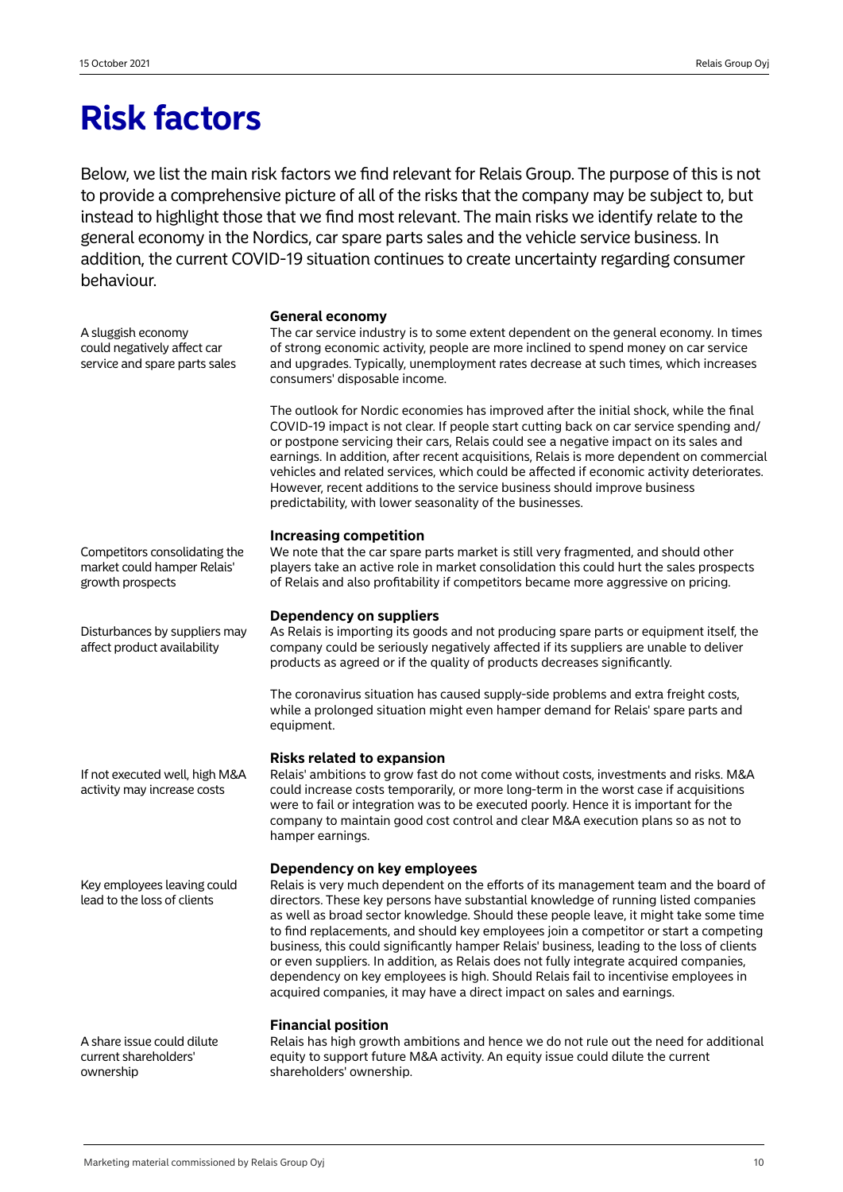## **Risk factors**

Below, we list the main risk factors we find relevant for Relais Group. The purpose of this is not to provide a comprehensive picture of all of the risks that the company may be subject to, but instead to highlight those that we find most relevant. The main risks we identify relate to the general economy in the Nordics, car spare parts sales and the vehicle service business. In addition, the current COVID-19 situation continues to create uncertainty regarding consumer behaviour.

A sluggish economy could negatively affect car service and spare parts sales

#### **General economy**

The car service industry is to some extent dependent on the general economy. In times of strong economic activity, people are more inclined to spend money on car service and upgrades. Typically, unemployment rates decrease at such times, which increases consumers' disposable income.

The outlook for Nordic economies has improved after the initial shock, while the final COVID-19 impact is not clear. If people start cutting back on car service spending and/ or postpone servicing their cars, Relais could see a negative impact on its sales and earnings. In addition, after recent acquisitions, Relais is more dependent on commercial vehicles and related services, which could be affected if economic activity deteriorates. However, recent additions to the service business should improve business predictability, with lower seasonality of the businesses.

## **Increasing competition**

We note that the car spare parts market is still very fragmented, and should other players take an active role in market consolidation this could hurt the sales prospects of Relais and also profitability if competitors became more aggressive on pricing.

## **Dependency on suppliers**

As Relais is importing its goods and not producing spare parts or equipment itself, the company could be seriously negatively affected if its suppliers are unable to deliver products as agreed or if the quality of products decreases significantly.

The coronavirus situation has caused supply-side problems and extra freight costs, while a prolonged situation might even hamper demand for Relais' spare parts and equipment.

### **Risks related to expansion**

Relais' ambitions to grow fast do not come without costs, investments and risks. M&A could increase costs temporarily, or more long-term in the worst case if acquisitions were to fail or integration was to be executed poorly. Hence it is important for the company to maintain good cost control and clear M&A execution plans so as not to hamper earnings.

## **Dependency on key employees**

Relais is very much dependent on the efforts of its management team and the board of directors. These key persons have substantial knowledge of running listed companies as well as broad sector knowledge. Should these people leave, it might take some time to find replacements, and should key employees join a competitor or start a competing business, this could significantly hamper Relais' business, leading to the loss of clients or even suppliers. In addition, as Relais does not fully integrate acquired companies, dependency on key employees is high. Should Relais fail to incentivise employees in acquired companies, it may have a direct impact on sales and earnings.

### **Financial position**

Relais has high growth ambitions and hence we do not rule out the need for additional equity to support future M&A activity. An equity issue could dilute the current shareholders' ownership.

Competitors consolidating the market could hamper Relais' growth prospects

Disturbances by suppliers may affect product availability

If not executed well, high M&A activity may increase costs

Key employees leaving could lead to the loss of clients

A share issue could dilute current shareholders' ownership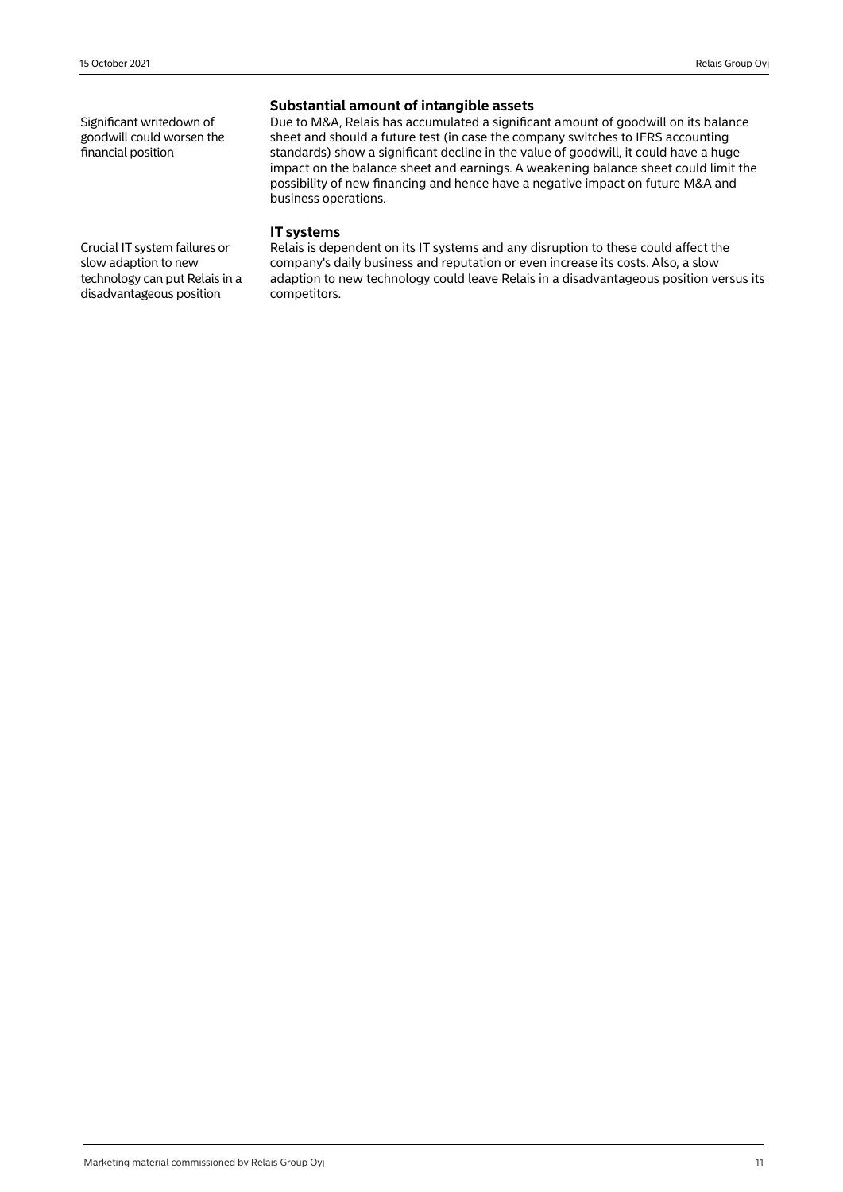Significant writedown of goodwill could worsen the financial position

## **Substantial amount of intangible assets**

Due to M&A, Relais has accumulated a significant amount of goodwill on its balance sheet and should a future test (in case the company switches to IFRS accounting standards) show a significant decline in the value of goodwill, it could have a huge impact on the balance sheet and earnings. A weakening balance sheet could limit the possibility of new financing and hence have a negative impact on future M&A and business operations.

## **IT systems**

Relais is dependent on its IT systems and any disruption to these could affect the company's daily business and reputation or even increase its costs. Also, a slow adaption to new technology could leave Relais in a disadvantageous position versus its competitors.

Crucial IT system failures or slow adaption to new technology can put Relais in a disadvantageous position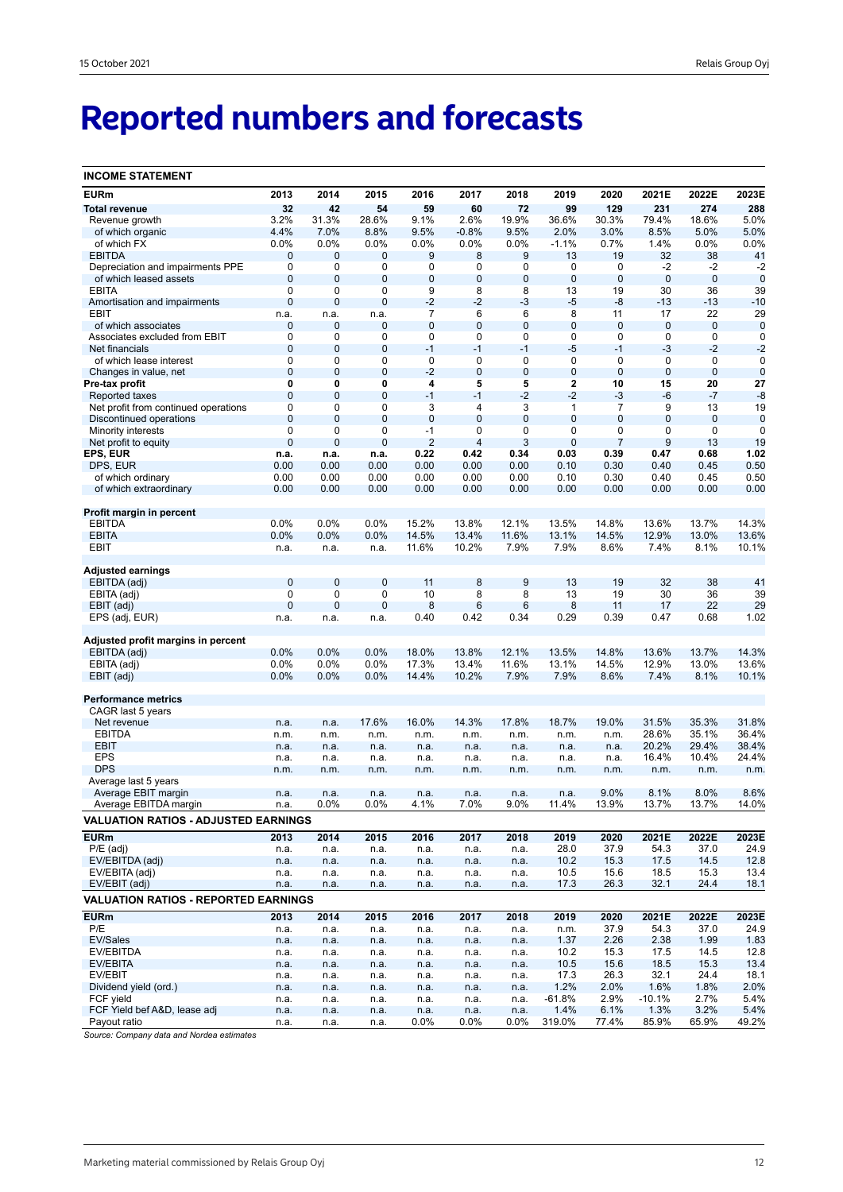# **Reported numbers and forecasts**

| <b>INCOME STATEMENT</b>                         |                            |              |                  |                |                |                |                            |                |                |                     |                     |
|-------------------------------------------------|----------------------------|--------------|------------------|----------------|----------------|----------------|----------------------------|----------------|----------------|---------------------|---------------------|
| <b>EURm</b>                                     | 2013                       | 2014         | 2015             | 2016           | 2017           | 2018           | 2019                       | 2020           | 2021E          | 2022E               | 2023E               |
| <b>Total revenue</b>                            | 32                         | 42           | 54               | 59             | 60             | 72             | 99                         | 129            | 231            | 274                 | 288                 |
| Revenue growth                                  | 3.2%                       | 31.3%        | 28.6%            | 9.1%           | 2.6%           | 19.9%          | 36.6%                      | 30.3%          | 79.4%          | 18.6%               | 5.0%                |
| of which organic                                | 4.4%                       | 7.0%         | 8.8%             | 9.5%           | $-0.8%$        | 9.5%           | 2.0%                       | 3.0%           | 8.5%           | 5.0%                | 5.0%                |
| of which FX                                     | 0.0%                       | 0.0%         | 0.0%             | 0.0%           | 0.0%           | $0.0\%$        | $-1.1%$                    | 0.7%           | 1.4%           | 0.0%                | 0.0%                |
| <b>EBITDA</b>                                   | 0                          | 0            | 0                | 9              | 8              | 9              | 13                         | 19             | 32             | 38                  | 41                  |
| Depreciation and impairments PPE                | $\mathbf 0$                | 0            | 0                | 0              | 0              | 0              | 0                          | 0              | $-2$           | $-2$                | $-2$                |
| of which leased assets                          | $\mathbf 0$                | 0            | $\bf 0$          | $\pmb{0}$      | 0              | $\pmb{0}$      | $\mathbf 0$                | $\mathbf 0$    | $\bf 0$        | $\mathbf 0$         | $\mathbf 0$         |
| <b>EBITA</b>                                    | 0                          | 0            | 0                | 9              | 8              | 8              | 13                         | 19             | 30             | 36                  | 39                  |
| Amortisation and impairments                    | $\mathbf 0$                | 0            | $\mathbf 0$      | $-2$           | $-2$           | $-3$           | $-5$                       | -8             | $-13$          | -13                 | $-10$               |
| EBIT                                            | n.a.                       | n.a.         | n.a.             | 7              | 6              | 6              | 8                          | 11             | 17             | 22                  | 29                  |
| of which associates                             | $\mathbf 0$<br>$\mathbf 0$ | 0            | 0                | 0              | 0              | $\bf 0$        | $\mathbf 0$<br>$\mathbf 0$ | $\mathbf 0$    | $\mathbf 0$    | $\mathbf 0$         | $\mathbf 0$         |
| Associates excluded from EBIT<br>Net financials | $\mathbf 0$                | 0<br>0       | 0<br>$\mathbf 0$ | 0<br>$-1$      | 0<br>$-1$      | 0<br>$-1$      | $-5$                       | 0<br>$-1$      | 0<br>$-3$      | $\mathbf 0$<br>$-2$ | $\mathbf 0$<br>$-2$ |
| of which lease interest                         | $\mathbf 0$                | 0            | 0                | 0              | $\mathbf 0$    | 0              | $\mathbf 0$                | $\mathbf 0$    | 0              | $\mathbf 0$         | $\mathbf 0$         |
| Changes in value, net                           | $\mathbf 0$                | 0            | $\mathbf 0$      | $-2$           | 0              | $\pmb{0}$      | $\mathbf 0$                | $\mathbf 0$    | 0              | $\mathbf 0$         | $\mathbf 0$         |
| Pre-tax profit                                  | 0                          | 0            | 0                | 4              | 5              | 5              | 2                          | 10             | 15             | 20                  | 27                  |
| Reported taxes                                  | $\mathbf 0$                | 0            | $\mathbf 0$      | $-1$           | $-1$           | $-2$           | $-2$                       | -3             | -6             | -7                  | $-8$                |
| Net profit from continued operations            | 0                          | 0            | 0                | 3              | 4              | 3              | 1                          | $\overline{7}$ | 9              | 13                  | 19                  |
| Discontinued operations                         | $\mathbf 0$                | 0            | $\overline{0}$   | $\mathbf 0$    | $\overline{0}$ | $\mathbf 0$    | $\overline{0}$             | $\mathbf{0}$   | 0              | $\mathbf{0}$        | $\mathbf 0$         |
| <b>Minority interests</b>                       | $\mathbf 0$                | 0            | 0                | $-1$           | 0              | 0              | $\mathbf 0$                | 0              | 0              | 0                   | $\mathbf 0$         |
| Net profit to equity                            | $\mathbf{0}$               | 0            | 0                | $\overline{2}$ | 4              | 3              | $\overline{0}$             | 7              | 9              | 13                  | 19                  |
| EPS, EUR                                        | n.a.                       | n.a.         | n.a.             | 0.22           | 0.42           | 0.34           | 0.03                       | 0.39           | 0.47           | 0.68                | 1.02                |
| DPS, EUR                                        | 0.00                       | 0.00         | 0.00             | 0.00           | 0.00           | 0.00           | 0.10                       | 0.30           | 0.40           | 0.45                | 0.50                |
| of which ordinary                               | 0.00                       | 0.00         | 0.00             | 0.00           | 0.00           | 0.00           | 0.10                       | 0.30           | 0.40           | 0.45                | 0.50                |
| of which extraordinary                          | 0.00                       | 0.00         | 0.00             | 0.00           | 0.00           | 0.00           | 0.00                       | 0.00           | 0.00           | 0.00                | 0.00                |
|                                                 |                            |              |                  |                |                |                |                            |                |                |                     |                     |
| Profit margin in percent<br><b>EBITDA</b>       | 0.0%                       | 0.0%         | 0.0%             | 15.2%          | 13.8%          | 12.1%          | 13.5%                      | 14.8%          | 13.6%          | 13.7%               | 14.3%               |
| <b>EBITA</b>                                    | 0.0%                       | 0.0%         | 0.0%             | 14.5%          | 13.4%          | 11.6%          | 13.1%                      | 14.5%          | 12.9%          | 13.0%               | 13.6%               |
| EBIT                                            | n.a.                       | n.a.         | n.a.             | 11.6%          | 10.2%          | 7.9%           | 7.9%                       | 8.6%           | 7.4%           | 8.1%                | 10.1%               |
|                                                 |                            |              |                  |                |                |                |                            |                |                |                     |                     |
| Adjusted earnings                               |                            |              |                  |                |                |                |                            |                |                |                     |                     |
| EBITDA (adj)                                    | $\mathbf 0$                | 0            | $\mathbf 0$      | 11             | 8              | $9\,$          | 13                         | 19             | 32             | 38                  | 41                  |
| EBITA (adj)                                     | $\mathbf 0$                | 0            | 0                | 10             | 8              | 8              | 13                         | 19             | 30             | 36                  | 39                  |
| EBIT (adj)                                      | $\mathbf{0}$               | 0            | $\mathbf 0$      | 8              | 6              | $6\phantom{1}$ | 8                          | 11             | 17             | 22                  | 29                  |
| EPS (adj, EUR)                                  | n.a.                       | n.a.         | n.a.             | 0.40           | 0.42           | 0.34           | 0.29                       | 0.39           | 0.47           | 0.68                | 1.02                |
| Adjusted profit margins in percent              |                            |              |                  |                |                |                |                            |                |                |                     |                     |
| EBITDA (adj)                                    | 0.0%                       | 0.0%         | 0.0%             | 18.0%          | 13.8%          | 12.1%          | 13.5%                      | 14.8%          | 13.6%          | 13.7%               | 14.3%               |
| EBITA (adj)                                     | 0.0%                       | 0.0%         | 0.0%             | 17.3%          | 13.4%          | 11.6%          | 13.1%                      | 14.5%          | 12.9%          | 13.0%               | 13.6%               |
| EBIT (adj)                                      | 0.0%                       | 0.0%         | 0.0%             | 14.4%          | 10.2%          | 7.9%           | 7.9%                       | 8.6%           | 7.4%           | 8.1%                | 10.1%               |
|                                                 |                            |              |                  |                |                |                |                            |                |                |                     |                     |
| <b>Performance metrics</b>                      |                            |              |                  |                |                |                |                            |                |                |                     |                     |
| CAGR last 5 years                               |                            |              |                  |                |                |                |                            |                |                |                     |                     |
| Net revenue<br><b>EBITDA</b>                    | n.a.                       | n.a.         | 17.6%            | 16.0%          | 14.3%          | 17.8%          | 18.7%                      | 19.0%          | 31.5%          | 35.3%<br>35.1%      | 31.8%<br>36.4%      |
| <b>EBIT</b>                                     | n.m.                       | n.m.         | n.m.             | n.m.           | n.m.           | n.m.           | n.m.                       | n.m.           | 28.6%<br>20.2% | 29.4%               | 38.4%               |
| <b>EPS</b>                                      | n.a.<br>n.a.               | n.a.<br>n.a. | n.a.<br>n.a.     | n.a.<br>n.a.   | n.a.<br>n.a.   | n.a.<br>n.a.   | n.a.<br>n.a.               | n.a.<br>n.a.   | 16.4%          | 10.4%               | 24.4%               |
| <b>DPS</b>                                      | n.m.                       | n.m.         | n.m.             | n.m.           | n.m.           | n.m.           | n.m.                       | n.m.           | n.m.           | n.m.                | n.m.                |
| Average last 5 years                            |                            |              |                  |                |                |                |                            |                |                |                     |                     |
| Average EBIT margin                             | n.a.                       | n.a.         | n.a.             | n.a.           | n.a.           | n.a.           | n.a.                       | 9.0%           | 8.1%           | 8.0%                | 8.6%                |
| Average EBITDA margin                           | n.a.                       | 0.0%         | 0.0%             | 4.1%           | 7.0%           | 9.0%           | 11.4%                      | 13.9%          | 13.7%          | 13.7%               | 14.0%               |
| <b>VALUATION RATIOS - ADJUSTED EARNINGS</b>     |                            |              |                  |                |                |                |                            |                |                |                     |                     |
| <b>EURm</b>                                     | 2013                       | 2014         | 2015             | 2016           | 2017           | 2018           | 2019                       | 2020           | 2021E          | 2022E               | 2023E               |
| $P/E$ (adj)                                     | n.a.                       | n.a.         | n.a.             | n.a.           | n.a.           | n.a.           | 28.0                       | 37.9           | 54.3           | 37.0                | 24.9                |
| EV/EBITDA (adj)                                 | n.a.                       | n.a.         | n.a.             | n.a.           | n.a.           | n.a.           | 10.2                       | 15.3           | 17.5           | 14.5                | 12.8                |
| EV/EBITA (adj)                                  | n.a.                       | n.a.         | n.a.             | n.a.           | n.a.           | n.a.           | 10.5                       | 15.6           | 18.5           | 15.3                | 13.4                |
| EV/EBIT (adj)                                   | n.a.                       | n.a.         | n.a.             | n.a.           | n.a.           | n.a.           | 17.3                       | 26.3           | 32.1           | 24.4                | 18.1                |
| <b>VALUATION RATIOS - REPORTED EARNINGS</b>     |                            |              |                  |                |                |                |                            |                |                |                     |                     |
| <b>EURm</b>                                     | 2013                       | 2014         | 2015             | 2016           | 2017           | 2018           | 2019                       | 2020           | 2021E          | 2022E               | 2023E               |
| P/E                                             | n.a.                       | n.a.         | n.a.             | n.a.           | n.a.           | n.a.           | n.m.                       | 37.9           | 54.3           | 37.0                | 24.9                |
| EV/Sales                                        | n.a.                       | n.a.         | n.a.             | n.a.           | n.a.           | n.a.           | 1.37                       | 2.26           | 2.38           | 1.99                | 1.83                |
| EV/EBITDA                                       | n.a.                       | n.a.         | n.a.             | n.a.           | n.a.           | n.a.           | 10.2                       | 15.3           | 17.5           | 14.5                | 12.8                |
| EV/EBITA                                        | n.a.                       | n.a.         | n.a.             | n.a.           | n.a.           | n.a.           | 10.5                       | 15.6           | 18.5           | 15.3                | 13.4                |
| EV/EBIT                                         | n.a.                       | n.a.         | n.a.             | n.a.           | n.a.           | n.a.           | 17.3                       | 26.3           | 32.1           | 24.4                | 18.1                |
| Dividend yield (ord.)                           | n.a.                       | n.a.         | n.a.             | n.a.           | n.a.           | n.a.           | 1.2%                       | 2.0%           | 1.6%           | 1.8%                | 2.0%                |
| FCF yield                                       | n.a.                       | n.a.         | n.a.             | n.a.           | n.a.           | n.a.           | $-61.8%$                   | 2.9%           | $-10.1%$       | 2.7%                | 5.4%                |
| FCF Yield bef A&D, lease adj                    | n.a.                       | n.a.         | n.a.             | n.a.           | n.a.           | n.a.           | 1.4%                       | 6.1%           | 1.3%           | 3.2%                | 5.4%                |
| Payout ratio                                    | n.a.                       | n.a.         | n.a.             | $0.0\%$        | $0.0\%$        | 0.0%           | 319.0%                     | 77.4%          | 85.9%          | 65.9%               | 49.2%               |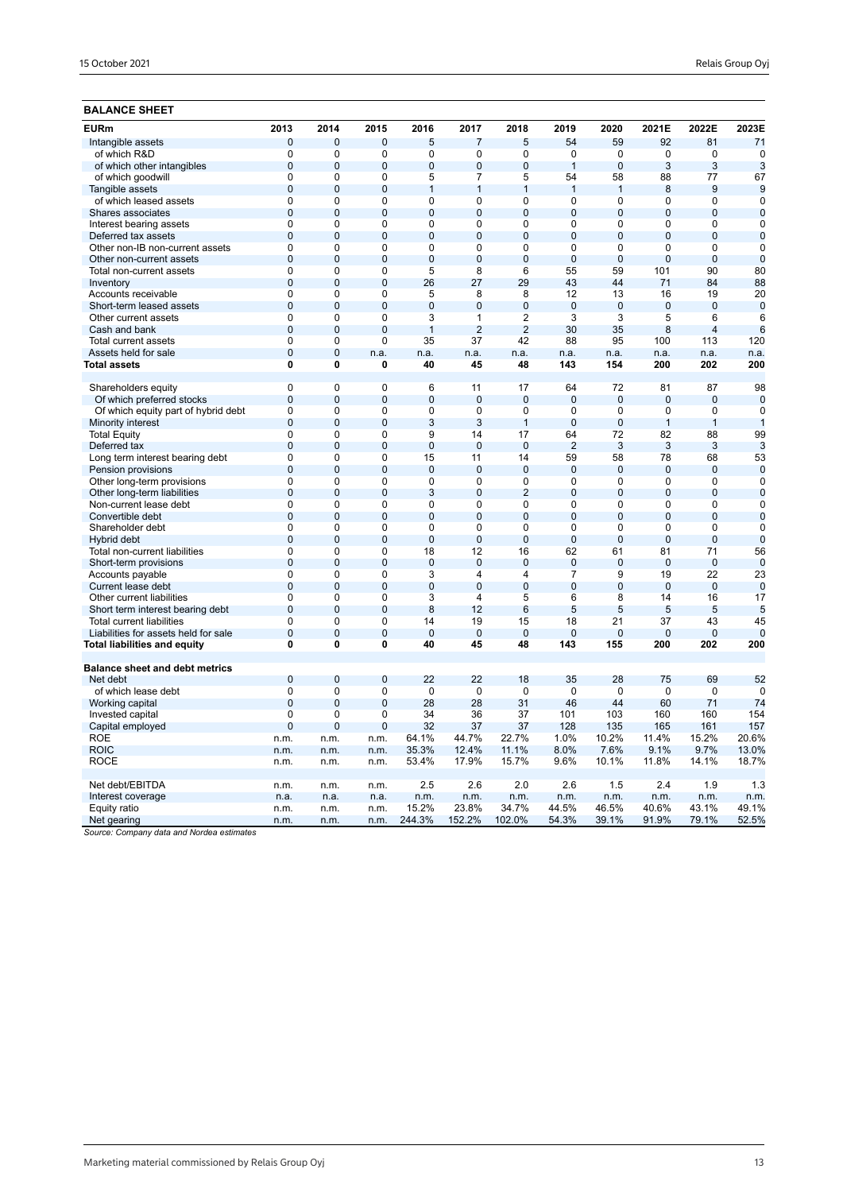## **BALANCE SHEET**

| <b>EURm</b>                                     | 2013                       | 2014                     | 2015                       | 2016                | 2017                | 2018                | 2019                             | 2020                | 2021E              | 2022E             | 2023E             |
|-------------------------------------------------|----------------------------|--------------------------|----------------------------|---------------------|---------------------|---------------------|----------------------------------|---------------------|--------------------|-------------------|-------------------|
| Intangible assets                               | $\overline{0}$             | $\overline{0}$           | 0                          | 5                   | $\overline{7}$      | 5                   | 54                               | 59                  | 92                 | 81                | 71                |
| of which R&D                                    | 0                          | $\mathbf 0$              | 0                          | 0                   | 0                   | 0                   | $\mathbf 0$                      | 0                   | 0                  | $\mathbf 0$       | $\mathbf 0$       |
| of which other intangibles                      | $\mathbf 0$                | $\mathbf{0}$             | $\overline{0}$             | $\overline{0}$      | $\overline{0}$      | $\overline{0}$      | $\mathbf{1}$                     | $\overline{0}$      | 3                  | 3                 | 3                 |
| of which goodwill                               | 0                          | 0                        | $\mathbf 0$                | 5                   | 7                   | 5                   | 54                               | 58                  | 88                 | 77                | 67                |
| Tangible assets                                 | $\overline{0}$             | $\mathbf{0}$             | $\overline{0}$             | 1                   | $\mathbf{1}$        | $\mathbf{1}$        | $\mathbf{1}$                     | $\mathbf{1}$        | 8                  | 9                 | 9                 |
| of which leased assets                          | $\overline{0}$             | $\overline{0}$           | $\overline{0}$             | $\overline{0}$      | $\overline{0}$      | 0                   | 0                                | $\overline{0}$      | 0                  | $\overline{0}$    | $\overline{0}$    |
| Shares associates                               | $\overline{0}$             | $\overline{0}$           | $\overline{0}$             | $\overline{0}$      | $\overline{0}$      | $\overline{0}$      | $\overline{0}$                   | $\overline{0}$      | $\overline{0}$     | $\overline{0}$    | $\overline{0}$    |
| Interest bearing assets                         | $\overline{0}$             | 0                        | $\mathbf 0$                | $\overline{0}$      | 0                   | $\overline{0}$      | 0                                | $\overline{0}$      | 0                  | 0                 | $\mathbf 0$       |
| Deferred tax assets                             | $\overline{0}$             | $\overline{0}$           | $\overline{0}$             | $\overline{0}$      | $\overline{0}$      | $\overline{0}$      | $\overline{0}$                   | $\overline{0}$      | $\overline{0}$     | $\overline{0}$    | $\overline{0}$    |
| Other non-IB non-current assets                 | 0                          | 0                        | 0                          | 0                   | 0                   | 0                   | 0                                | 0                   | 0                  | 0                 | $\mathbf 0$       |
| Other non-current assets                        | $\overline{0}$             | $\Omega$                 | $\overline{0}$             | $\overline{0}$      | $\overline{0}$      | $\overline{0}$      | $\overline{0}$                   | $\overline{0}$      | $\overline{0}$     | $\overline{0}$    | $\overline{0}$    |
| Total non-current assets                        | 0                          | $\mathbf 0$              | 0                          | 5                   | 8                   | 6                   | 55                               | 59                  | 101                | 90                | 80                |
| Inventory                                       | $\overline{0}$             | $\Omega$                 | $\overline{0}$             | 26                  | 27                  | 29                  | 43                               | 44                  | 71                 | 84                | 88                |
| Accounts receivable                             | $\overline{0}$             | 0                        | $\overline{0}$             | 5                   | 8                   | 8                   | 12                               | 13                  | 16                 | 19                | 20                |
| Short-term leased assets                        | $\overline{0}$             | $\overline{0}$           | $\overline{0}$             | $\overline{0}$      | $\overline{0}$      | $\overline{0}$      | $\overline{0}$                   | $\overline{0}$      | $\overline{0}$     | $\overline{0}$    | $\overline{0}$    |
| Other current assets                            | $\overline{0}$             | $\Omega$                 | $\overline{0}$             | $\overline{3}$      | 1                   | $\overline{2}$      | $\overline{3}$                   | $\overline{3}$      | 5                  | 6                 | 6                 |
| Cash and bank                                   | $\overline{0}$             | $\overline{0}$           | $\overline{0}$             | $\overline{1}$      | $\overline{2}$      | $\overline{2}$      | 30                               | 35                  | 8                  | $\overline{4}$    | 6                 |
| Total current assets                            | 0                          | 0                        | $\Omega$                   | 35                  | 37                  | 42                  | 88                               | 95                  | 100                | 113               | 120               |
| Assets held for sale                            | $\mathbf 0$                | $\overline{0}$           | n.a.                       | n.a.                | n.a.                | n.a.                | n.a.                             | n.a.                | n.a.               | n.a.              | n.a.              |
| Total assets                                    | $\mathbf{0}$               | 0                        | 0                          | 40                  | 45                  | 48                  | 143                              | 154                 | 200                | 202               | 200               |
| Shareholders equity                             | $\Omega$                   | $\Omega$                 | $\Omega$                   | 6                   | 11                  | 17                  | 64                               | 72                  | 81                 | 87                | 98                |
| Of which preferred stocks                       | $\overline{0}$             | $\overline{0}$           | $\overline{0}$             | $\overline{0}$      | $\overline{0}$      | $\overline{0}$      | $\overline{0}$                   | $\overline{0}$      | $\mathbf 0$        | $\mathbf 0$       | $\mathbf 0$       |
| Of which equity part of hybrid debt             | $\overline{0}$             | $\Omega$                 | 0                          | 0                   | 0                   | 0                   | 0                                | $\overline{0}$      | 0                  | $\mathbf 0$       | $\mathbf 0$       |
| Minority interest                               | $\overline{0}$             | $\overline{0}$           | $\overline{0}$             | 3                   | 3                   | $\mathbf{1}$        | $\overline{0}$                   | $\overline{0}$      | $\mathbf{1}$       | $\mathbf{1}$      | $\overline{1}$    |
| <b>Total Equity</b>                             | $\mathbf 0$                | 0                        | $\mathbf 0$                | 9                   | 14                  | 17                  | 64                               | 72                  | 82                 | 88                | 99                |
| Deferred tax                                    | $\overline{0}$             | $\mathbf 0$              | $\overline{0}$             | $\overline{0}$      | $\overline{0}$      | $\overline{0}$      | $\overline{2}$                   | 3                   | 3                  | 3                 | 3                 |
| Long term interest bearing debt                 | $\mathbf 0$                | 0                        | $\mathbf 0$                | 15                  | 11                  | 14                  | 59                               | 58                  | 78                 | 68                | 53                |
| Pension provisions                              | $\overline{0}$             | $\overline{0}$           | $\overline{0}$             | $\overline{0}$      | $\overline{0}$      | $\overline{0}$      | $\overline{0}$                   | $\overline{0}$      | $\Omega$           | $\mathbf{0}$      | $\overline{0}$    |
| Other long-term provisions                      | $\mathbf 0$                | 0                        | $\Omega$                   | 0                   | $\Omega$            | $\mathbf 0$         | 0                                | $\mathbf 0$         | $\Omega$           | $\mathbf 0$       | $\Omega$          |
| Other long-term liabilities                     | $\overline{0}$             | $\overline{0}$           | $\overline{0}$             | 3                   | $\overline{0}$      | $\overline{2}$      | $\overline{0}$                   | $\overline{0}$      | $\mathbf{0}$       | $\overline{0}$    | $\mathbf 0$       |
| Non-current lease debt                          | $\overline{0}$             | 0                        | $\overline{0}$             | 0                   | $\Omega$            | 0                   | $\Omega$                         | $\Omega$            | $\Omega$           | $\Omega$          | $\mathbf 0$       |
| Convertible debt                                | $\overline{0}$             | $\overline{0}$           | $\overline{0}$             | $\overline{0}$      | $\overline{0}$      | $\overline{0}$      | $\overline{0}$                   | $\overline{0}$      | $\overline{0}$     | $\overline{0}$    | $\mathbf 0$       |
| Shareholder debt                                | $\mathbf 0$                | $\mathbf 0$              | $\mathbf 0$                | 0                   | $\mathbf 0$         | 0                   | 0                                | $\mathbf 0$         | 0                  | 0                 | $\mathbf 0$       |
| Hybrid debt                                     | $\overline{0}$             | $\overline{0}$           | $\overline{0}$<br>$\Omega$ | $\overline{0}$      | $\overline{0}$      | $\overline{0}$      | $\overline{0}$                   | $\overline{0}$      | $\overline{0}$     | $\overline{0}$    | $\overline{0}$    |
| Total non-current liabilities                   | $\mathbf 0$                | 0                        |                            | 18                  | 12                  | 16                  | 62                               | 61                  | 81                 | 71                | 56                |
| Short-term provisions                           | $\mathbf 0$<br>$\mathbf 0$ | $\mathbf{0}$<br>$\Omega$ | $\overline{0}$             | $\mathbf 0$         | $\overline{0}$<br>4 | $\bf 0$             | $\overline{0}$<br>$\overline{7}$ | $\mathbf 0$         | $\bf 0$            | $\mathbf 0$<br>22 | $\mathbf 0$       |
| Accounts payable                                | $\overline{0}$             | $\overline{0}$           | 0<br>$\overline{0}$        | 3<br>$\overline{0}$ | $\overline{0}$      | 4<br>$\overline{0}$ | $\overline{0}$                   | 9<br>$\overline{0}$ | 19                 | $\overline{0}$    | 23                |
| Current lease debt<br>Other current liabilities | $\mathbf 0$                | 0                        | $\mathbf 0$                | 3                   | 4                   | 5                   | 6                                | 8                   | $\mathbf{0}$<br>14 | 16                | $\mathbf 0$<br>17 |
| Short term interest bearing debt                | $\overline{0}$             | $\overline{0}$           | $\overline{0}$             | 8                   | 12                  | 6                   | 5                                | 5                   | 5                  | 5                 | 5                 |
| <b>Total current liabilities</b>                | $\overline{0}$             | $\overline{0}$           | $\overline{0}$             | 14                  | 19                  | 15                  | 18                               | 21                  | 37                 | 43                | 45                |
| Liabilities for assets held for sale            | $\overline{0}$             | $\overline{0}$           | $\overline{0}$             | $\overline{0}$      | $\overline{0}$      | $\overline{0}$      | $\overline{0}$                   | $\overline{0}$      | 0                  | $\overline{0}$    | $\Omega$          |
| Total liabilities and equity                    | 0                          | 0                        | 0                          | 40                  | 45                  | 48                  | 143                              | 155                 | 200                | 202               | 200               |
| <b>Balance sheet and debt metrics</b>           |                            |                          |                            |                     |                     |                     |                                  |                     |                    |                   |                   |
| Net debt                                        | $\overline{0}$             | $\mathbf 0$              | $\overline{0}$             | 22                  | 22                  | 18                  | 35                               | 28                  | 75                 | 69                | 52                |
| of which lease debt                             | $\mathbf 0$                | $\Omega$                 | $\mathbf 0$                | 0                   | $\mathbf 0$         | 0                   | 0                                | 0                   | 0                  | 0                 | 0                 |
|                                                 | $\overline{0}$             | $\mathbf{0}$             | $\overline{0}$             | 28                  | 28                  | 31                  | 46                               | 44                  | 60                 | 71                | 74                |
| Working capital<br>Invested capital             | $\mathbf 0$                | $\Omega$                 | $\mathbf 0$                | 34                  | 36                  | 37                  | 101                              | 103                 | 160                | 160               | 154               |
| Capital employed                                | $\overline{0}$             | $\overline{0}$           | $\overline{0}$             | 32                  | 37                  | 37                  | 128                              | 135                 | 165                | 161               | 157               |
| <b>ROE</b>                                      | n.m.                       | n.m.                     | n.m.                       | 64.1%               | 44.7%               | 22.7%               | 1.0%                             | 10.2%               | 11.4%              | 15.2%             | 20.6%             |
| <b>ROIC</b>                                     | n.m.                       | n.m.                     | n.m.                       | 35.3%               | 12.4%               | 11.1%               | 8.0%                             | 7.6%                | 9.1%               | 9.7%              | 13.0%             |
| ROCE                                            | n.m.                       | n.m.                     | n.m.                       | 53.4%               | 17.9%               | 15.7%               | 9.6%                             | 10.1%               | 11.8%              | 14.1%             | 18.7%             |
|                                                 |                            |                          |                            |                     |                     |                     |                                  |                     |                    |                   |                   |
| Net debt/EBITDA                                 | n.m.                       | n.m.                     | n.m.                       | 2.5                 | 2.6                 | 2.0                 | 2.6                              | 1.5                 | 2.4                | 1.9               | 1.3               |
| Interest coverage                               | n.a.                       | n.a.                     | n.a.                       | n.m.                | n.m.                | n.m.                | n.m.                             | n.m.                | n.m.               | n.m.              | n.m.              |
| Equity ratio                                    | n.m.                       | n.m.                     | n.m.                       | 15.2%               | 23.8%               | 34.7%               | 44.5%                            | 46.5%               | 40.6%              | 43.1%             | 49.1%             |
| Net gearing<br>$1.11 - 1.1$                     | n.m.                       | n.m.                     | n.m.                       | 244.3%              | 152.2%              | 102.0%              | 54.3%                            | 39.1%               | 91.9%              | 79.1%             | 52.5%             |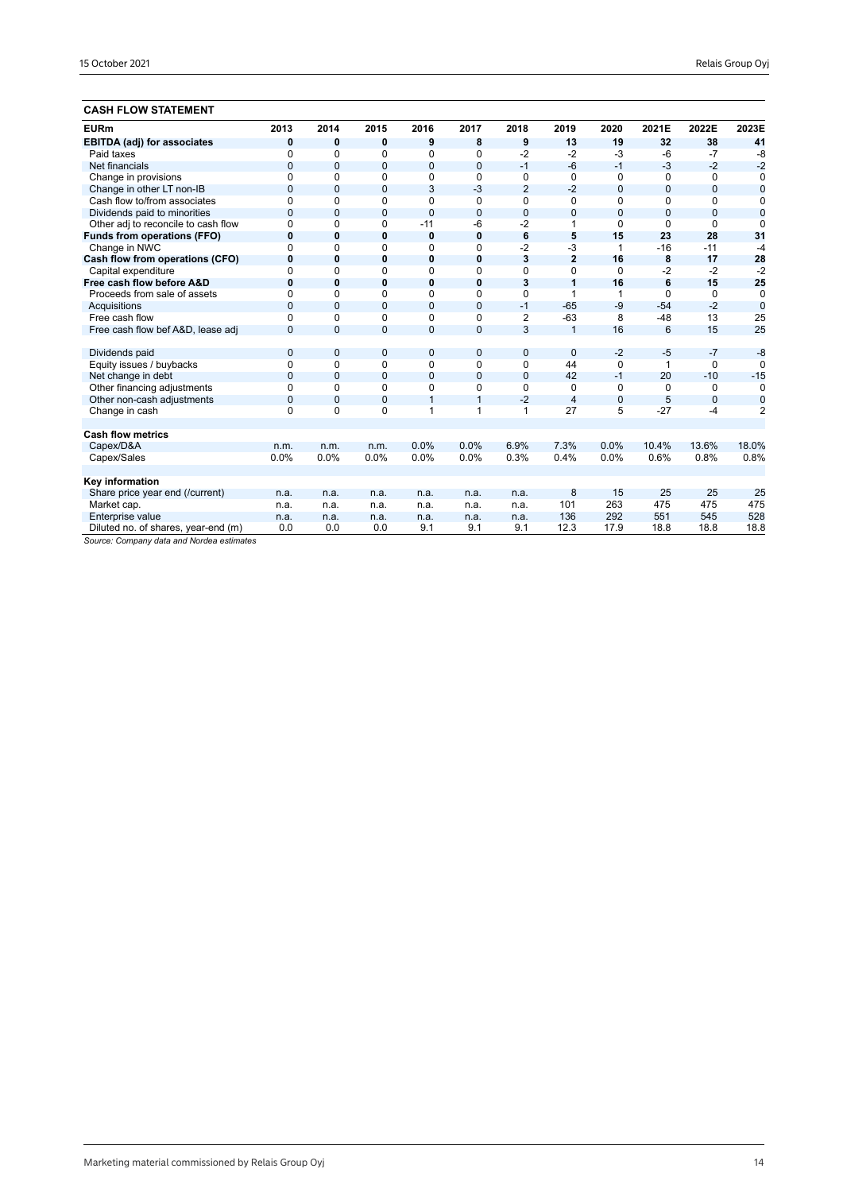## **CASH FLOW STATEMENT**

| <b>EURm</b>                         | 2013           | 2014           | 2015         | 2016           | 2017           | 2018           | 2019           | 2020           | 2021E          | 2022E          | 2023E          |
|-------------------------------------|----------------|----------------|--------------|----------------|----------------|----------------|----------------|----------------|----------------|----------------|----------------|
| <b>EBITDA (adj) for associates</b>  | 0              | 0              | 0            | 9              | 8              | 9              | 13             | 19             | 32             | 38             | 41             |
| Paid taxes                          | $\Omega$       | 0              | $\Omega$     | 0              | $\Omega$       | $-2$           | $-2$           | $-3$           | $-6$           | $-7$           | $-8$           |
| Net financials                      | $\mathbf{0}$   | $\mathbf{0}$   | $\mathbf{0}$ | $\overline{0}$ | $\mathbf{0}$   | $-1$           | $-6$           | $-1$           | $-3$           | $-2$           | $-2$           |
| Change in provisions                | $\mathbf 0$    | 0              | 0            | 0              | 0              | 0              | $\Omega$       | 0              | 0              | 0              | 0              |
| Change in other LT non-IB           | $\overline{0}$ | $\Omega$       | $\mathbf{0}$ | 3              | $-3$           | $\overline{2}$ | $-2$           | $\mathbf{0}$   | $\overline{0}$ | $\overline{0}$ | $\bf{0}$       |
| Cash flow to/from associates        | $\Omega$       | 0              | $\Omega$     | 0              | $\Omega$       | $\mathbf 0$    | $\Omega$       | $\Omega$       | $\Omega$       | $\Omega$       | 0              |
| Dividends paid to minorities        | $\overline{0}$ | $\overline{0}$ | $\mathbf{0}$ | $\overline{0}$ | $\mathbf{0}$   | $\mathbf 0$    | $\overline{0}$ | $\overline{0}$ | $\Omega$       | 0              | $\overline{0}$ |
| Other adj to reconcile to cash flow | $\Omega$       | $\Omega$       | $\Omega$     | $-11$          | -6             | $-2$           | 1              | $\Omega$       | $\Omega$       | $\Omega$       | $\Omega$       |
| <b>Funds from operations (FFO)</b>  | $\bf{0}$       | 0              | $\bf{0}$     | 0              | $\mathbf 0$    | 6              | 5              | 15             | 23             | 28             | 31             |
| Change in NWC                       | $\Omega$       | 0              | 0            | 0              | 0              | $-2$           | $-3$           | 1              | $-16$          | $-11$          | $-4$           |
| Cash flow from operations (CFO)     | $\bf{0}$       | $\bf{0}$       | $\bf{0}$     | 0              | $\mathbf 0$    | 3              | $\overline{2}$ | 16             | 8              | 17             | 28             |
| Capital expenditure                 | $\Omega$       | 0              | $\Omega$     | 0              | $\Omega$       | $\Omega$       | $\Omega$       | $\Omega$       | $-2$           | $-2$           | $-2$           |
| Free cash flow before A&D           | $\bf{0}$       | $\mathbf{0}$   | 0            | 0              | $\mathbf 0$    | 3              | 1              | 16             | 6              | 15             | 25             |
| Proceeds from sale of assets        | $\Omega$       | $\Omega$       | $\Omega$     | 0              | $\Omega$       | 0              | 1              | 1              | $\Omega$       | 0              | $\mathbf 0$    |
| Acquisitions                        | $\Omega$       | $\overline{0}$ | $\mathbf{0}$ | $\overline{0}$ | $\overline{0}$ | $-1$           | $-65$          | $-9$           | $-54$          | $-2$           | $\overline{0}$ |
| Free cash flow                      | $\Omega$       | $\Omega$       | $\Omega$     | 0              | 0              | 2              | $-63$          | 8              | $-48$          | 13             | 25             |
| Free cash flow bef A&D, lease adj   | $\Omega$       | $\Omega$       | $\mathbf{0}$ | $\overline{0}$ | $\overline{0}$ | 3              | $\overline{1}$ | 16             | 6              | 15             | 25             |
|                                     |                |                |              |                |                |                |                |                |                |                |                |
| Dividends paid                      | $\mathbf 0$    | $\overline{0}$ | $\mathbf{0}$ | 0              | $\mathbf 0$    | $\mathbf 0$    | $\overline{0}$ | $-2$           | $-5$           | $-7$           | $-8$           |
| Equity issues / buybacks            | $\mathbf 0$    | $\Omega$       | 0            | 0              | $\mathbf 0$    | 0              | 44             | $\Omega$       | 1              | $\Omega$       | $\Omega$       |
| Net change in debt                  | $\mathbf{0}$   | $\mathbf{0}$   | $\mathbf{0}$ | 0              | $\mathbf{0}$   | $\overline{0}$ | 42             | $-1$           | 20             | $-10$          | $-15$          |
| Other financing adjustments         | $\mathbf 0$    | 0              | $\Omega$     | 0              | $\mathbf 0$    | 0              | 0              | 0              | $\Omega$       | 0              | $\Omega$       |
| Other non-cash adjustments          | $\mathbf 0$    | $\overline{0}$ | $\mathbf{0}$ | $\mathbf{1}$   | $\overline{1}$ | $-2$           | $\overline{4}$ | $\mathbf 0$    | 5              | $\mathbf{0}$   | $\mathbf 0$    |
| Change in cash                      | $\Omega$       | $\Omega$       | $\Omega$     | 1              | 1              | 1              | 27             | 5              | $-27$          | $-4$           | $\overline{2}$ |
|                                     |                |                |              |                |                |                |                |                |                |                |                |
| <b>Cash flow metrics</b>            |                |                |              |                |                |                |                |                |                |                |                |
| Capex/D&A                           | n.m.           | n.m.           | n.m.         | 0.0%           | 0.0%           | 6.9%           | 7.3%           | 0.0%           | 10.4%          | 13.6%          | 18.0%          |
| Capex/Sales                         | 0.0%           | 0.0%           | 0.0%         | 0.0%           | 0.0%           | 0.3%           | 0.4%           | 0.0%           | 0.6%           | 0.8%           | 0.8%           |
|                                     |                |                |              |                |                |                |                |                |                |                |                |
| Key information                     |                |                |              |                |                |                |                |                |                |                |                |
| Share price year end (/current)     | n.a.           | n.a.           | n.a.         | n.a.           | n.a.           | n.a.           | 8              | 15             | 25             | 25             | 25             |
| Market cap.                         | n.a.           | n.a.           | n.a.         | n.a.           | n.a.           | n.a.           | 101            | 263            | 475            | 475            | 475            |
| Enterprise value                    | n.a.           | n.a.           | n.a.         | n.a.           | n.a.           | n.a.           | 136            | 292            | 551            | 545            | 528            |
| Diluted no. of shares, year-end (m) | 0.0            | 0.0            | 0.0          | 9.1            | 9.1            | 9.1            | 12.3           | 17.9           | 18.8           | 18.8           | 18.8           |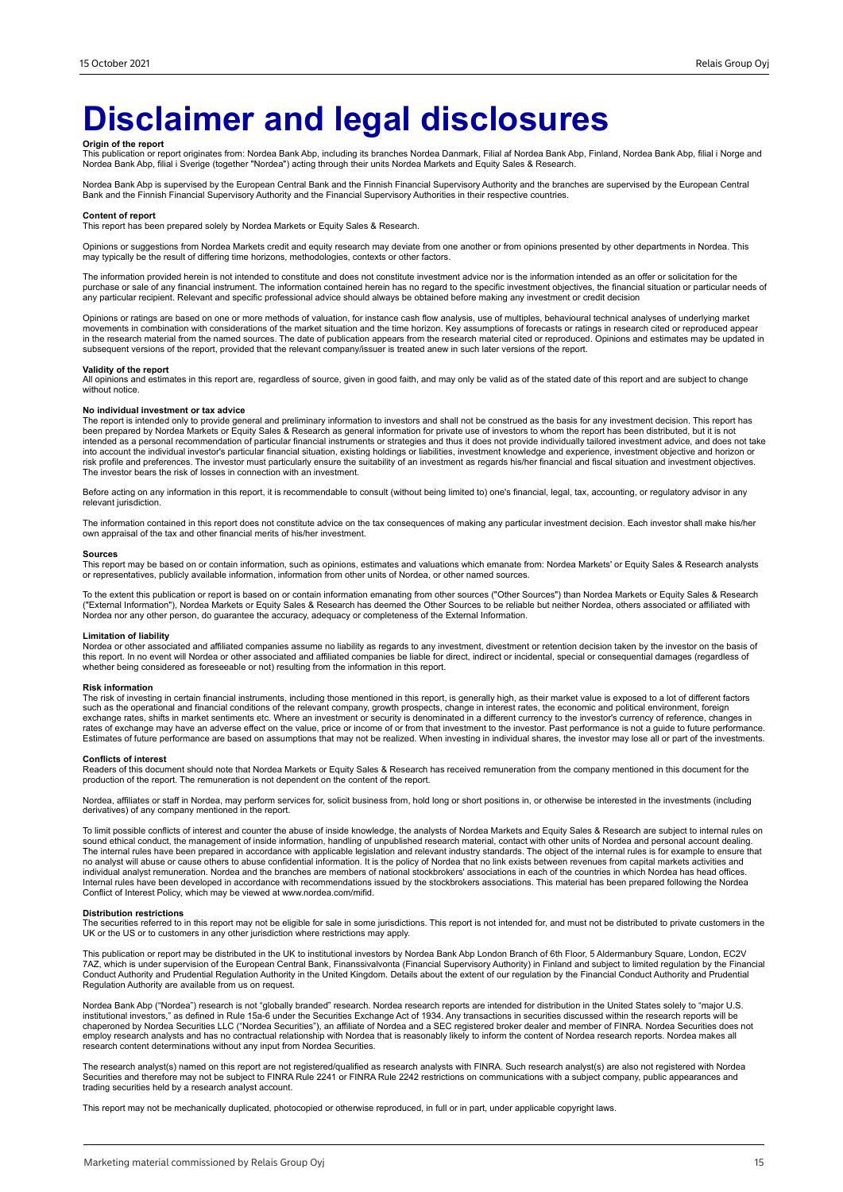## **Disclaimer and legal disclosures**

**Origin of the report**<br>This publication or report originates from: Nordea Bank Abp, including its branches Nordea Danmark, Filial af Nordea Bank Abp, Mordea Bank Abp, filial i Norge and<br>Nordea Bank Abp, filial i Sverige (t

Nordea Bank Abp is supervised by the European Central Bank and the Finnish Financial Supervisory Authority and the branches are supervised by the European Central<br>Bank and the Finnish Financial Supervisory Authority and th

#### **Content of report**

This report has been prepared solely by Nordea Markets or Equity Sales & Research.

Opinions or suggestions from Nordea Markets credit and equity research may deviate from one another or from opinions presented by other departments in Nordea. This may typically be the result of differing time horizons, methodologies, contexts or other factors.

The information provided herein is not intended to constitute and does not constitute investment advice nor is the information intended as an offer or solicitation for the purchase or sale of any financial instrument. The information contained herein has no regard to the specific investment objectives, the financial situation or particular needs of any particular recipient. Relevant and specific professional advice should always be obtained before making any investment or credit decision

Opinions or ratings are based on one or more methods of valuation, for instance cash flow analysis, use of multiples, behavioural technical analyses of underlying market movements in combination with considerations of the market situation and the time horizon. Key assumptions of forecasts or ratings in research cited or reproduced appear<br>in the research material from the named sources. The subsequent versions of the report, provided that the relevant company/issuer is treated anew in such later versions of the report.

#### **Validity of the report**

All opinions and estimates in this report are, regardless of source, given in good faith, and may only be valid as of the stated date of this report and are subject to change without notice.

#### **No individual investment or tax advice**

The report is intended only to provide general and preliminary information to investors and shall not be construed as the basis for any investment decision. This report has<br>been prepared by Nordea Markets or Equity Sales & into account the individual investor's particular financial situation, existing holdings or liabilities, investment knowledge and experience, investment objective and horizon or<br>risk profile and preferences. The investor m The investor bears the risk of losses in connection with an investment.

Before acting on any information in this report, it is recommendable to consult (without being limited to) one's financial, legal, tax, accounting, or regulatory advisor in any relevant jurisdiction.

The information contained in this report does not constitute advice on the tax consequences of making any particular investment decision. Each investor shall make his/her own appraisal of the tax and other financial merits of his/her investment.

#### **Sources**

This report may be based on or contain information, such as opinions, estimates and valuations which emanate from: Nordea Markets' or Equity Sales & Research analysts or representatives, publicly available information, information from other units of Nordea, or other named sources.

To the extent this publication or report is based on or contain information emanating from other sources ("Other Sources") than Nordea Markets or Equity Sales & Research<br>("External Information"), Nordea Markets or Equity S Nordea nor any other person, do guarantee the accuracy, adequacy or completeness of the External Information.

#### **Limitation of liability**

Nordea or other associated and affiliated companies assume no liability as regards to any investment, divestment or retention decision taken by the investor on the basis of<br>this report. In no event will Nordea or other ass whether being considered as foreseeable or not) resulting from the information in this report.

#### **Risk information**

The risk of investing in certain financial instruments, including those mentioned in this report, is generally high, as their market value is exposed to a lot of different factors<br>such as the operational and financial cond exchange rates, shifts in market sentiments etc. Where an investment or security is denominated in a different currency to the investor's currency of reference, changes in<br>rates of exchange may have an adverse effect on th Estimates of future performance are based on assumptions that may not be realized. When investing in individual shares, the investor may lose all or part of the investments.

#### **Conflicts of interest**

Readers of this document should note that Nordea Markets or Equity Sales & Research has received remuneration from the company mentioned in this document for the<br>production of the report. The remuneration is not dependent

Nordea, affiliates or staff in Nordea, may perform services for, solicit business from, hold long or short positions in, or otherwise be interested in the investments (including derivatives) of any company mentioned in the report.

To limit possible conflicts of interest and counter the abuse of inside knowledge, the analysts of Nordea Markets and Equity Sales & Research are subject to internal rules on sound ethical conduct, the management of inside information, handling of unpublished research material, contact with other units of Nordea and personal account dealing.<br>The internal rules have been prepared in accordance w individual analyst remuneration. Nordea and the branches are members of national stockbrokers' associations in each of the countries in which Nordea has head offices.<br>Internal rules have been developed in accordance with r Conflict of Interest Policy, which may be viewed at www.nordea.com/mifid.

#### **Distribution restrictions**

The securities referred to in this report may not be eligible for sale in some jurisdictions. This report is not intended for, and must not be distributed to private customers in the UK or the US or to customers in any other jurisdiction where restrictions may apply.

This publication or report may be distributed in the UK to institutional investors by Nordea Bank Abp London Branch of 6th Floor, 5 Aldermanbury Square, London, EC2V 7AZ, which is under supervision of the European Central Bank, Finanssivalvonta (Financial Supervisory Authority) in Finland and subject to limited regulation by the Financial<br>Conduct Authority and Prudential Regulation Aut Regulation Authority are available from us on request.

Nordea Bank Abp ("Nordea") research is not "globally branded" research. Nordea research reports are intended for distribution in the United States solely to "major U.S. institutional investors," as defined in Rule 15a-6 under the Securities Exchange Act of 1934. Any transactions in securities discussed within the research reports will be<br>chaperoned by Nordea Securities LLC ("Nordea Securi research content determinations without any input from Nordea Securities.

The research analyst(s) named on this report are not registered/qualified as research analysts with FINRA. Such research analyst(s) are also not registered with Nordea<br>Securities and therefore may not be subject to FINRA R trading securities held by a research analyst account.

This report may not be mechanically duplicated, photocopied or otherwise reproduced, in full or in part, under applicable copyright laws.